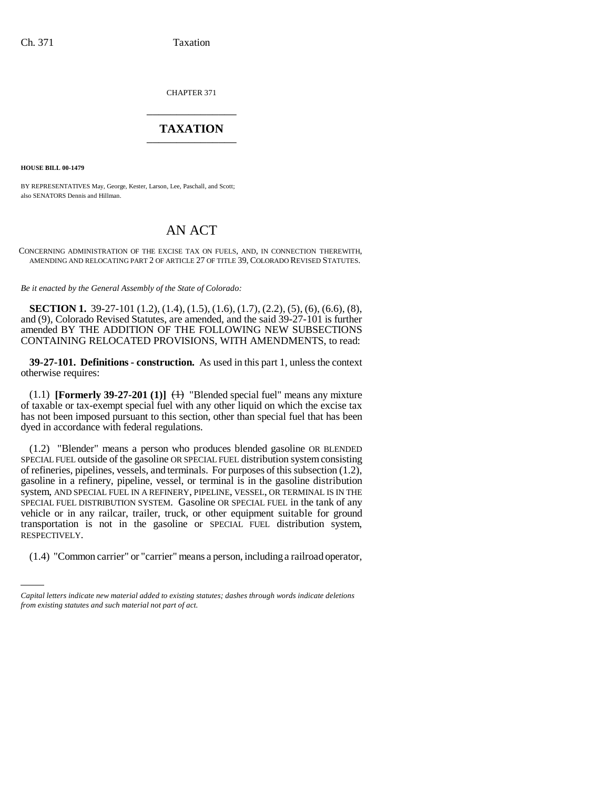CHAPTER 371 \_\_\_\_\_\_\_\_\_\_\_\_\_\_\_

# **TAXATION** \_\_\_\_\_\_\_\_\_\_\_\_\_\_\_

**HOUSE BILL 00-1479** 

BY REPRESENTATIVES May, George, Kester, Larson, Lee, Paschall, and Scott; also SENATORS Dennis and Hillman.

# AN ACT

CONCERNING ADMINISTRATION OF THE EXCISE TAX ON FUELS, AND, IN CONNECTION THEREWITH, AMENDING AND RELOCATING PART 2 OF ARTICLE 27 OF TITLE 39, COLORADO REVISED STATUTES.

*Be it enacted by the General Assembly of the State of Colorado:*

**SECTION 1.** 39-27-101 (1.2), (1.4), (1.5), (1.6), (1.7), (2.2), (5), (6), (6.6), (8), and (9), Colorado Revised Statutes, are amended, and the said 39-27-101 is further amended BY THE ADDITION OF THE FOLLOWING NEW SUBSECTIONS CONTAINING RELOCATED PROVISIONS, WITH AMENDMENTS, to read:

**39-27-101. Definitions - construction.** As used in this part 1, unless the context otherwise requires:

(1.1) **[Formerly 39-27-201 (1)]**  $\leftrightarrow$  "Blended special fuel" means any mixture of taxable or tax-exempt special fuel with any other liquid on which the excise tax has not been imposed pursuant to this section, other than special fuel that has been dyed in accordance with federal regulations.

RESPECTIVELY. (1.2) "Blender" means a person who produces blended gasoline OR BLENDED SPECIAL FUEL outside of the gasoline OR SPECIAL FUEL distribution system consisting of refineries, pipelines, vessels, and terminals. For purposes of this subsection (1.2), gasoline in a refinery, pipeline, vessel, or terminal is in the gasoline distribution system, AND SPECIAL FUEL IN A REFINERY, PIPELINE, VESSEL, OR TERMINAL IS IN THE SPECIAL FUEL DISTRIBUTION SYSTEM. Gasoline OR SPECIAL FUEL in the tank of any vehicle or in any railcar, trailer, truck, or other equipment suitable for ground transportation is not in the gasoline or SPECIAL FUEL distribution system,

(1.4) "Common carrier" or "carrier" means a person, including a railroad operator,

*Capital letters indicate new material added to existing statutes; dashes through words indicate deletions from existing statutes and such material not part of act.*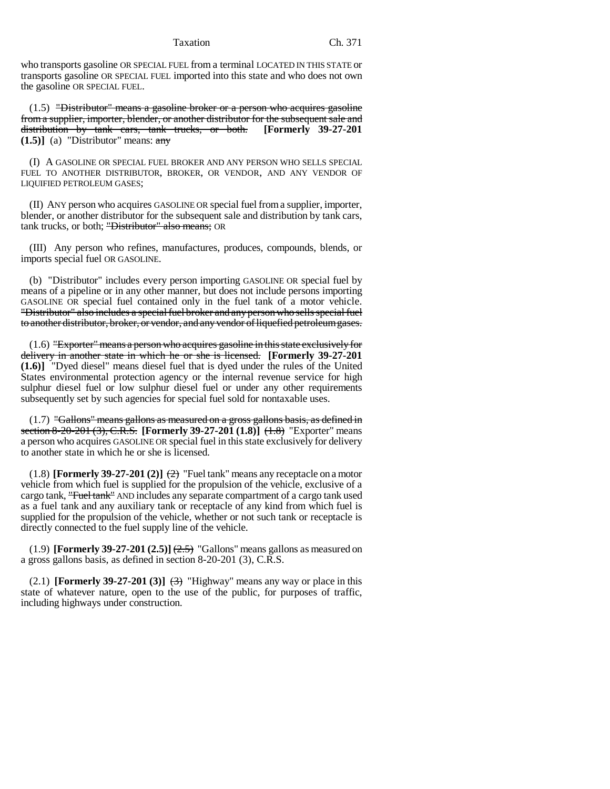who transports gasoline OR SPECIAL FUEL from a terminal LOCATED IN THIS STATE or transports gasoline OR SPECIAL FUEL imported into this state and who does not own the gasoline OR SPECIAL FUEL.

(1.5) "Distributor" means a gasoline broker or a person who acquires gasoline from a supplier, importer, blender, or another distributor for the subsequent sale and distribution by tank cars, tank trucks, or both. **[Formerly 39-27-201 (1.5)]** (a) "Distributor" means: any

(I) A GASOLINE OR SPECIAL FUEL BROKER AND ANY PERSON WHO SELLS SPECIAL FUEL TO ANOTHER DISTRIBUTOR, BROKER, OR VENDOR, AND ANY VENDOR OF LIQUIFIED PETROLEUM GASES;

(II) ANY person who acquires GASOLINE OR special fuel from a supplier, importer, blender, or another distributor for the subsequent sale and distribution by tank cars, tank trucks, or both; "Distributor" also means; OR

(III) Any person who refines, manufactures, produces, compounds, blends, or imports special fuel OR GASOLINE.

(b) "Distributor" includes every person importing GASOLINE OR special fuel by means of a pipeline or in any other manner, but does not include persons importing GASOLINE OR special fuel contained only in the fuel tank of a motor vehicle. "Distributor" also includes a special fuel broker and any person who sells special fuel to another distributor, broker, or vendor, and any vendor of liquefied petroleum gases.

(1.6) "Exporter" means a person who acquires gasoline in this state exclusively for delivery in another state in which he or she is licensed. **[Formerly 39-27-201 (1.6)]** "Dyed diesel" means diesel fuel that is dyed under the rules of the United States environmental protection agency or the internal revenue service for high sulphur diesel fuel or low sulphur diesel fuel or under any other requirements subsequently set by such agencies for special fuel sold for nontaxable uses.

 $(1.7)$  "Gallons" means gallons as measured on a gross gallons basis, as defined in section 8-20-201 (3), C.R.S. **[Formerly 39-27-201 (1.8)]** (1.8) "Exporter" means a person who acquires GASOLINE OR special fuel in this state exclusively for delivery to another state in which he or she is licensed.

(1.8) **[Formerly 39-27-201 (2)]**  $\left(\frac{2}{2}\right)$  "Fuel tank" means any receptacle on a motor vehicle from which fuel is supplied for the propulsion of the vehicle, exclusive of a cargo tank, "Fuel tank" AND includes any separate compartment of a cargo tank used as a fuel tank and any auxiliary tank or receptacle of any kind from which fuel is supplied for the propulsion of the vehicle, whether or not such tank or receptacle is directly connected to the fuel supply line of the vehicle.

 $(1.9)$  **[Formerly 39-27-201 (2.5)**  $\left(\frac{2.5}{2.5}\right)$  "Gallons" means gallons as measured on a gross gallons basis, as defined in section 8-20-201 (3), C.R.S.

(2.1) **[Formerly 39-27-201 (3)]**  $\leftrightarrow$  "Highway" means any way or place in this state of whatever nature, open to the use of the public, for purposes of traffic, including highways under construction.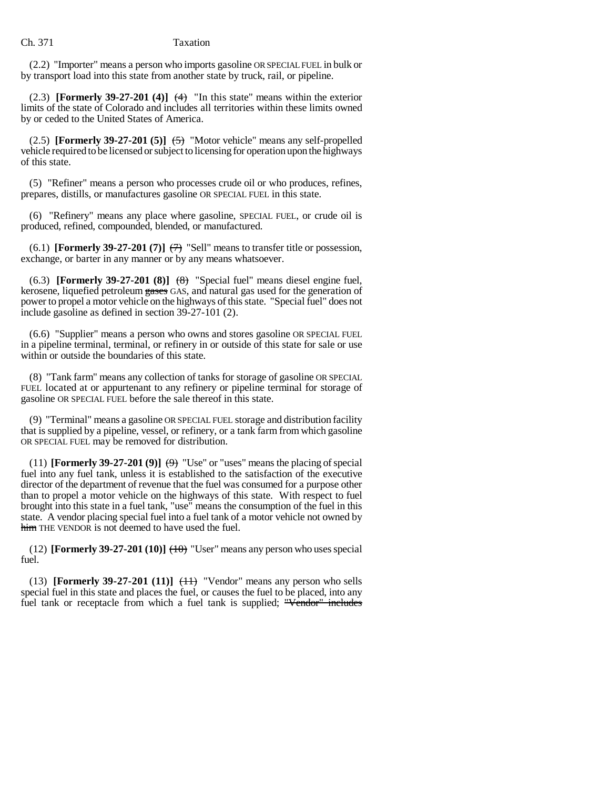(2.2) "Importer" means a person who imports gasoline OR SPECIAL FUEL in bulk or by transport load into this state from another state by truck, rail, or pipeline.

(2.3) **[Formerly 39-27-201 (4)]**  $(4)$  "In this state" means within the exterior limits of the state of Colorado and includes all territories within these limits owned by or ceded to the United States of America.

(2.5) **[Formerly 39-27-201 (5)]**  $\left( \frac{1}{2} \right)$  "Motor vehicle" means any self-propelled vehicle required to be licensed or subject to licensing for operation upon the highways of this state.

(5) "Refiner" means a person who processes crude oil or who produces, refines, prepares, distills, or manufactures gasoline OR SPECIAL FUEL in this state.

(6) "Refinery" means any place where gasoline, SPECIAL FUEL, or crude oil is produced, refined, compounded, blended, or manufactured.

(6.1) **[Formerly 39-27-201 (7)]**  $\left(\frac{7}{7}\right)$  "Sell" means to transfer title or possession, exchange, or barter in any manner or by any means whatsoever.

(6.3) **[Formerly 39-27-201 (8)]**  $(8)$  "Special fuel" means diesel engine fuel, kerosene, liquefied petroleum gases GAS, and natural gas used for the generation of power to propel a motor vehicle on the highways of this state. "Special fuel" does not include gasoline as defined in section 39-27-101 (2).

(6.6) "Supplier" means a person who owns and stores gasoline OR SPECIAL FUEL in a pipeline terminal, terminal, or refinery in or outside of this state for sale or use within or outside the boundaries of this state.

(8) "Tank farm" means any collection of tanks for storage of gasoline OR SPECIAL FUEL located at or appurtenant to any refinery or pipeline terminal for storage of gasoline OR SPECIAL FUEL before the sale thereof in this state.

(9) "Terminal" means a gasoline OR SPECIAL FUEL storage and distribution facility that is supplied by a pipeline, vessel, or refinery, or a tank farm from which gasoline OR SPECIAL FUEL may be removed for distribution.

(11) **[Formerly 39-27-201 (9)]**  $\leftrightarrow$  "Use" or "uses" means the placing of special fuel into any fuel tank, unless it is established to the satisfaction of the executive director of the department of revenue that the fuel was consumed for a purpose other than to propel a motor vehicle on the highways of this state. With respect to fuel brought into this state in a fuel tank, "use" means the consumption of the fuel in this state. A vendor placing special fuel into a fuel tank of a motor vehicle not owned by him THE VENDOR is not deemed to have used the fuel.

(12) **[Formerly 39-27-201 (10)]**  $(+0)$  "User" means any person who uses special fuel.

(13) **[Formerly 39-27-201 (11)]**  $\left(\frac{11}{11}\right)$  "Vendor" means any person who sells special fuel in this state and places the fuel, or causes the fuel to be placed, into any fuel tank or receptacle from which a fuel tank is supplied; "Vendor" includes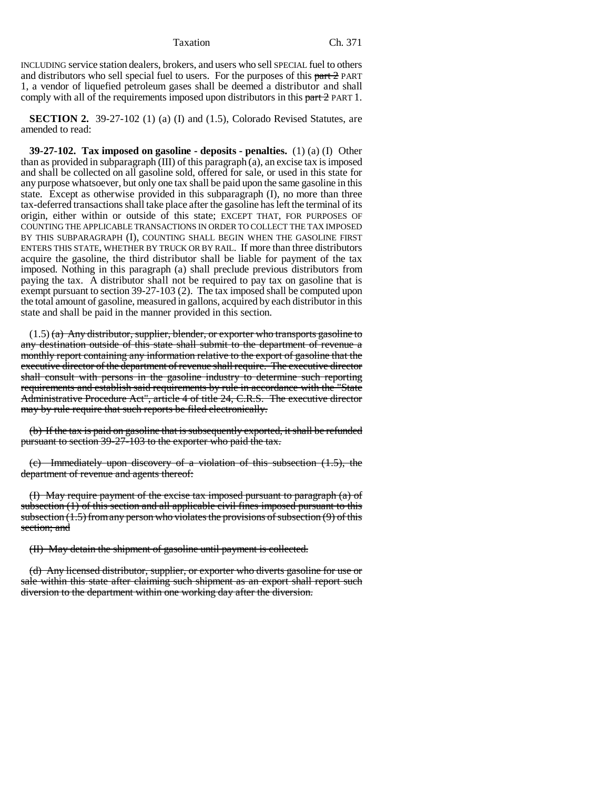INCLUDING service station dealers, brokers, and users who sell SPECIAL fuel to others and distributors who sell special fuel to users. For the purposes of this part 2 PART 1, a vendor of liquefied petroleum gases shall be deemed a distributor and shall comply with all of the requirements imposed upon distributors in this part 2 PART 1.

**SECTION 2.** 39-27-102 (1) (a) (I) and (1.5), Colorado Revised Statutes, are amended to read:

**39-27-102. Tax imposed on gasoline - deposits - penalties.** (1) (a) (I) Other than as provided in subparagraph (III) of this paragraph (a), an excise tax is imposed and shall be collected on all gasoline sold, offered for sale, or used in this state for any purpose whatsoever, but only one tax shall be paid upon the same gasoline in this state. Except as otherwise provided in this subparagraph (I), no more than three tax-deferred transactions shall take place after the gasoline has left the terminal of its origin, either within or outside of this state; EXCEPT THAT, FOR PURPOSES OF COUNTING THE APPLICABLE TRANSACTIONS IN ORDER TO COLLECT THE TAX IMPOSED BY THIS SUBPARAGRAPH (I), COUNTING SHALL BEGIN WHEN THE GASOLINE FIRST ENTERS THIS STATE, WHETHER BY TRUCK OR BY RAIL. If more than three distributors acquire the gasoline, the third distributor shall be liable for payment of the tax imposed. Nothing in this paragraph (a) shall preclude previous distributors from paying the tax. A distributor shall not be required to pay tax on gasoline that is exempt pursuant to section 39-27-103 (2). The tax imposed shall be computed upon the total amount of gasoline, measured in gallons, acquired by each distributor in this state and shall be paid in the manner provided in this section.

 $(1.5)$  (a) Any distributor, supplier, blender, or exporter who transports gasoline to any destination outside of this state shall submit to the department of revenue a monthly report containing any information relative to the export of gasoline that the executive director of the department of revenue shall require. The executive director shall consult with persons in the gasoline industry to determine such reporting requirements and establish said requirements by rule in accordance with the "State Administrative Procedure Act", article 4 of title 24, C.R.S. The executive director may by rule require that such reports be filed electronically.

(b) If the tax is paid on gasoline that is subsequently exported, it shall be refunded pursuant to section 39-27-103 to the exporter who paid the tax.

(c) Immediately upon discovery of a violation of this subsection (1.5), the department of revenue and agents thereof:

(I) May require payment of the excise tax imposed pursuant to paragraph (a) of subsection (1) of this section and all applicable civil fines imposed pursuant to this subsection (1.5) from any person who violates the provisions of subsection (9) of this section; and

(II) May detain the shipment of gasoline until payment is collected.

(d) Any licensed distributor, supplier, or exporter who diverts gasoline for use or sale within this state after claiming such shipment as an export shall report such diversion to the department within one working day after the diversion.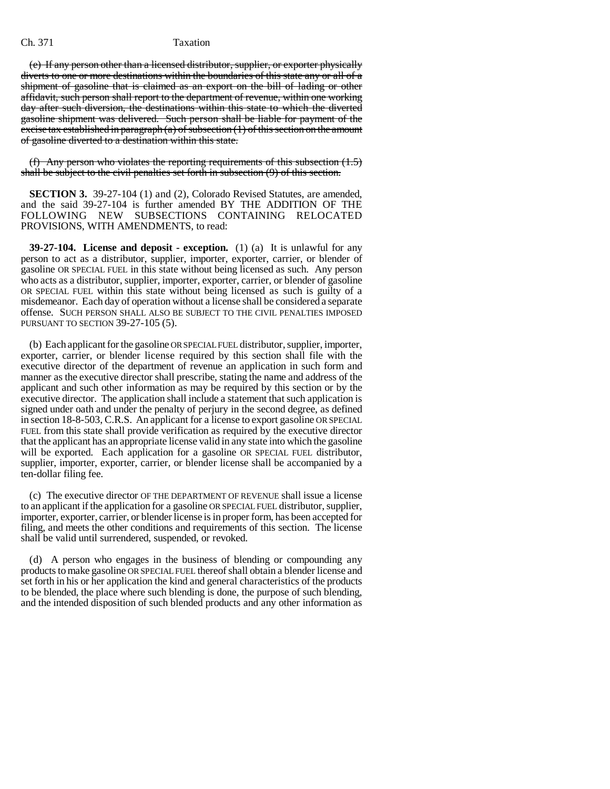(e) If any person other than a licensed distributor, supplier, or exporter physically diverts to one or more destinations within the boundaries of this state any or all of a shipment of gasoline that is claimed as an export on the bill of lading or other affidavit, such person shall report to the department of revenue, within one working day after such diversion, the destinations within this state to which the diverted gasoline shipment was delivered. Such person shall be liable for payment of the excise tax established in paragraph  $(a)$  of subsection  $(1)$  of this section on the amount of gasoline diverted to a destination within this state.

(f) Any person who violates the reporting requirements of this subsection  $(1.5)$ shall be subject to the civil penalties set forth in subsection (9) of this section.

**SECTION 3.** 39-27-104 (1) and (2), Colorado Revised Statutes, are amended, and the said 39-27-104 is further amended BY THE ADDITION OF THE FOLLOWING NEW SUBSECTIONS CONTAINING RELOCATED PROVISIONS, WITH AMENDMENTS, to read:

**39-27-104. License and deposit - exception.** (1) (a) It is unlawful for any person to act as a distributor, supplier, importer, exporter, carrier, or blender of gasoline OR SPECIAL FUEL in this state without being licensed as such. Any person who acts as a distributor, supplier, importer, exporter, carrier, or blender of gasoline OR SPECIAL FUEL within this state without being licensed as such is guilty of a misdemeanor. Each day of operation without a license shall be considered a separate offense. SUCH PERSON SHALL ALSO BE SUBJECT TO THE CIVIL PENALTIES IMPOSED PURSUANT TO SECTION 39-27-105 (5).

(b) Each applicant for the gasoline OR SPECIAL FUEL distributor, supplier, importer, exporter, carrier, or blender license required by this section shall file with the executive director of the department of revenue an application in such form and manner as the executive director shall prescribe, stating the name and address of the applicant and such other information as may be required by this section or by the executive director. The application shall include a statement that such application is signed under oath and under the penalty of perjury in the second degree, as defined in section 18-8-503, C.R.S. An applicant for a license to export gasoline OR SPECIAL FUEL from this state shall provide verification as required by the executive director that the applicant has an appropriate license valid in any state into which the gasoline will be exported. Each application for a gasoline OR SPECIAL FUEL distributor, supplier, importer, exporter, carrier, or blender license shall be accompanied by a ten-dollar filing fee.

(c) The executive director OF THE DEPARTMENT OF REVENUE shall issue a license to an applicant if the application for a gasoline OR SPECIAL FUEL distributor, supplier, importer, exporter, carrier, or blender license is in proper form, has been accepted for filing, and meets the other conditions and requirements of this section. The license shall be valid until surrendered, suspended, or revoked.

(d) A person who engages in the business of blending or compounding any products to make gasoline OR SPECIAL FUEL thereof shall obtain a blender license and set forth in his or her application the kind and general characteristics of the products to be blended, the place where such blending is done, the purpose of such blending, and the intended disposition of such blended products and any other information as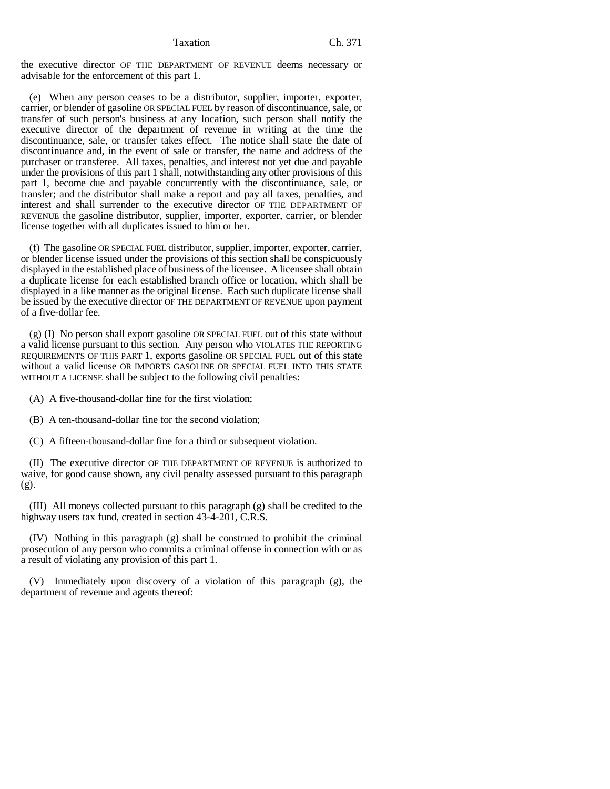the executive director OF THE DEPARTMENT OF REVENUE deems necessary or advisable for the enforcement of this part 1.

(e) When any person ceases to be a distributor, supplier, importer, exporter, carrier, or blender of gasoline OR SPECIAL FUEL by reason of discontinuance, sale, or transfer of such person's business at any location, such person shall notify the executive director of the department of revenue in writing at the time the discontinuance, sale, or transfer takes effect. The notice shall state the date of discontinuance and, in the event of sale or transfer, the name and address of the purchaser or transferee. All taxes, penalties, and interest not yet due and payable under the provisions of this part 1 shall, notwithstanding any other provisions of this part 1, become due and payable concurrently with the discontinuance, sale, or transfer; and the distributor shall make a report and pay all taxes, penalties, and interest and shall surrender to the executive director OF THE DEPARTMENT OF REVENUE the gasoline distributor, supplier, importer, exporter, carrier, or blender license together with all duplicates issued to him or her.

(f) The gasoline OR SPECIAL FUEL distributor, supplier, importer, exporter, carrier, or blender license issued under the provisions of this section shall be conspicuously displayed in the established place of business of the licensee. A licensee shall obtain a duplicate license for each established branch office or location, which shall be displayed in a like manner as the original license. Each such duplicate license shall be issued by the executive director OF THE DEPARTMENT OF REVENUE upon payment of a five-dollar fee.

(g) (I) No person shall export gasoline OR SPECIAL FUEL out of this state without a valid license pursuant to this section. Any person who VIOLATES THE REPORTING REQUIREMENTS OF THIS PART 1, exports gasoline OR SPECIAL FUEL out of this state without a valid license OR IMPORTS GASOLINE OR SPECIAL FUEL INTO THIS STATE WITHOUT A LICENSE shall be subject to the following civil penalties:

(A) A five-thousand-dollar fine for the first violation;

(B) A ten-thousand-dollar fine for the second violation;

(C) A fifteen-thousand-dollar fine for a third or subsequent violation.

(II) The executive director OF THE DEPARTMENT OF REVENUE is authorized to waive, for good cause shown, any civil penalty assessed pursuant to this paragraph (g).

(III) All moneys collected pursuant to this paragraph (g) shall be credited to the highway users tax fund, created in section 43-4-201, C.R.S.

(IV) Nothing in this paragraph (g) shall be construed to prohibit the criminal prosecution of any person who commits a criminal offense in connection with or as a result of violating any provision of this part 1.

(V) Immediately upon discovery of a violation of this paragraph (g), the department of revenue and agents thereof: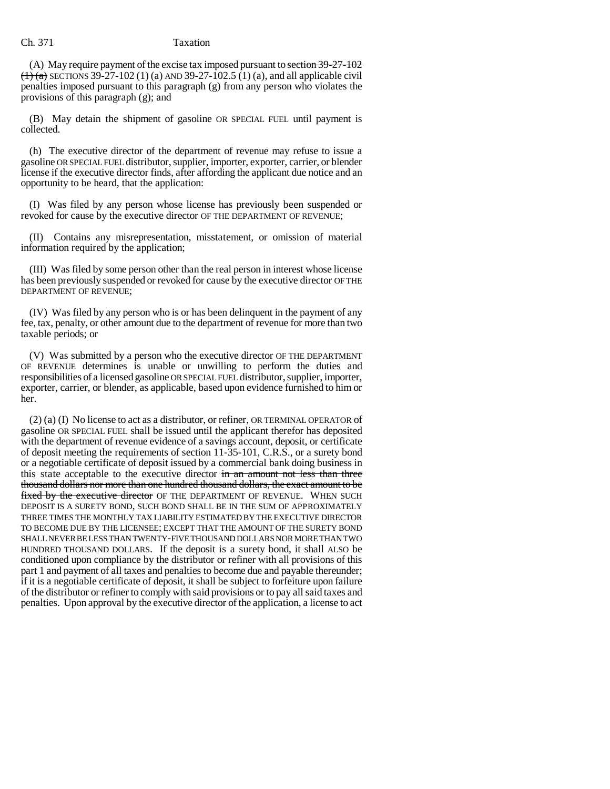(A) May require payment of the excise tax imposed pursuant to section  $39-27-102$  $(1)$  (a) SECTIONS 39-27-102 (1) (a) AND 39-27-102.5 (1) (a), and all applicable civil penalties imposed pursuant to this paragraph (g) from any person who violates the provisions of this paragraph (g); and

(B) May detain the shipment of gasoline OR SPECIAL FUEL until payment is collected.

(h) The executive director of the department of revenue may refuse to issue a gasoline OR SPECIAL FUEL distributor, supplier, importer, exporter, carrier, or blender license if the executive director finds, after affording the applicant due notice and an opportunity to be heard, that the application:

(I) Was filed by any person whose license has previously been suspended or revoked for cause by the executive director OF THE DEPARTMENT OF REVENUE;

(II) Contains any misrepresentation, misstatement, or omission of material information required by the application;

(III) Was filed by some person other than the real person in interest whose license has been previously suspended or revoked for cause by the executive director OF THE DEPARTMENT OF REVENUE;

(IV) Was filed by any person who is or has been delinquent in the payment of any fee, tax, penalty, or other amount due to the department of revenue for more than two taxable periods; or

(V) Was submitted by a person who the executive director OF THE DEPARTMENT OF REVENUE determines is unable or unwilling to perform the duties and responsibilities of a licensed gasoline OR SPECIAL FUEL distributor, supplier, importer, exporter, carrier, or blender, as applicable, based upon evidence furnished to him or her.

 $(2)$  (a) (I) No license to act as a distributor, or refiner, OR TERMINAL OPERATOR of gasoline OR SPECIAL FUEL shall be issued until the applicant therefor has deposited with the department of revenue evidence of a savings account, deposit, or certificate of deposit meeting the requirements of section 11-35-101, C.R.S., or a surety bond or a negotiable certificate of deposit issued by a commercial bank doing business in this state acceptable to the executive director in an amount not less than three thousand dollars nor more than one hundred thousand dollars, the exact amount to be fixed by the executive director OF THE DEPARTMENT OF REVENUE. WHEN SUCH DEPOSIT IS A SURETY BOND, SUCH BOND SHALL BE IN THE SUM OF APPROXIMATELY THREE TIMES THE MONTHLY TAX LIABILITY ESTIMATED BY THE EXECUTIVE DIRECTOR TO BECOME DUE BY THE LICENSEE; EXCEPT THAT THE AMOUNT OF THE SURETY BOND SHALL NEVER BE LESS THAN TWENTY-FIVE THOUSAND DOLLARS NOR MORE THAN TWO HUNDRED THOUSAND DOLLARS. If the deposit is a surety bond, it shall ALSO be conditioned upon compliance by the distributor or refiner with all provisions of this part 1 and payment of all taxes and penalties to become due and payable thereunder; if it is a negotiable certificate of deposit, it shall be subject to forfeiture upon failure of the distributor or refiner to comply with said provisions or to pay all said taxes and penalties. Upon approval by the executive director of the application, a license to act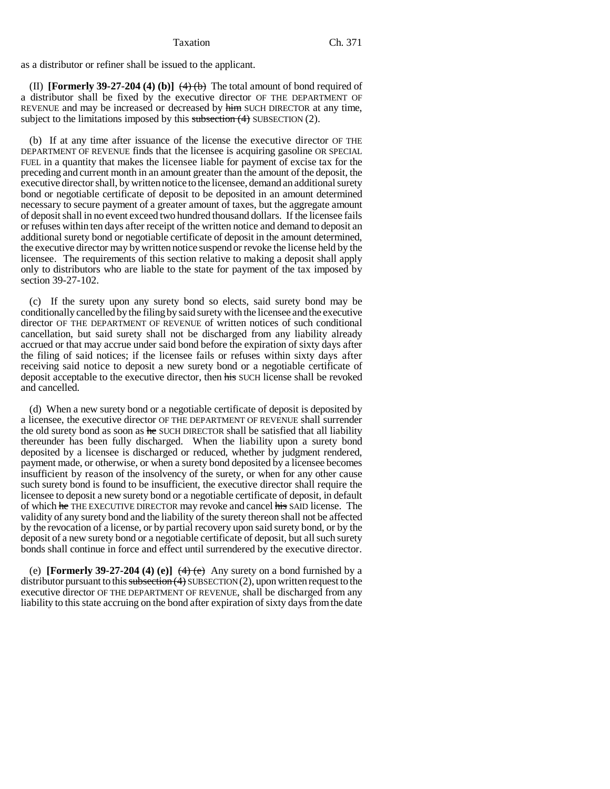as a distributor or refiner shall be issued to the applicant.

(II) **[Formerly 39-27-204 (4) (b)]**  $\left(\frac{4}{6}\right)$  The total amount of bond required of a distributor shall be fixed by the executive director OF THE DEPARTMENT OF REVENUE and may be increased or decreased by him SUCH DIRECTOR at any time, subject to the limitations imposed by this subsection  $(4)$  SUBSECTION  $(2)$ .

(b) If at any time after issuance of the license the executive director OF THE DEPARTMENT OF REVENUE finds that the licensee is acquiring gasoline OR SPECIAL FUEL in a quantity that makes the licensee liable for payment of excise tax for the preceding and current month in an amount greater than the amount of the deposit, the executive director shall, by written notice to the licensee, demand an additional surety bond or negotiable certificate of deposit to be deposited in an amount determined necessary to secure payment of a greater amount of taxes, but the aggregate amount of deposit shall in no event exceed two hundred thousand dollars. If the licensee fails or refuses within ten days after receipt of the written notice and demand to deposit an additional surety bond or negotiable certificate of deposit in the amount determined, the executive director may by written notice suspend or revoke the license held by the licensee. The requirements of this section relative to making a deposit shall apply only to distributors who are liable to the state for payment of the tax imposed by section 39-27-102.

(c) If the surety upon any surety bond so elects, said surety bond may be conditionally cancelled by the filing by said surety with the licensee and the executive director OF THE DEPARTMENT OF REVENUE of written notices of such conditional cancellation, but said surety shall not be discharged from any liability already accrued or that may accrue under said bond before the expiration of sixty days after the filing of said notices; if the licensee fails or refuses within sixty days after receiving said notice to deposit a new surety bond or a negotiable certificate of deposit acceptable to the executive director, then his SUCH license shall be revoked and cancelled.

(d) When a new surety bond or a negotiable certificate of deposit is deposited by a licensee, the executive director OF THE DEPARTMENT OF REVENUE shall surrender the old surety bond as soon as he SUCH DIRECTOR shall be satisfied that all liability thereunder has been fully discharged. When the liability upon a surety bond deposited by a licensee is discharged or reduced, whether by judgment rendered, payment made, or otherwise, or when a surety bond deposited by a licensee becomes insufficient by reason of the insolvency of the surety, or when for any other cause such surety bond is found to be insufficient, the executive director shall require the licensee to deposit a new surety bond or a negotiable certificate of deposit, in default of which he THE EXECUTIVE DIRECTOR may revoke and cancel his SAID license. The validity of any surety bond and the liability of the surety thereon shall not be affected by the revocation of a license, or by partial recovery upon said surety bond, or by the deposit of a new surety bond or a negotiable certificate of deposit, but all such surety bonds shall continue in force and effect until surrendered by the executive director.

(e) **[Formerly 39-27-204 (4) (e)]**  $(4)$  (e) Any surety on a bond furnished by a distributor pursuant to this subsection  $(4)$  SUBSECTION  $(2)$ , upon written request to the executive director OF THE DEPARTMENT OF REVENUE, shall be discharged from any liability to this state accruing on the bond after expiration of sixty days from the date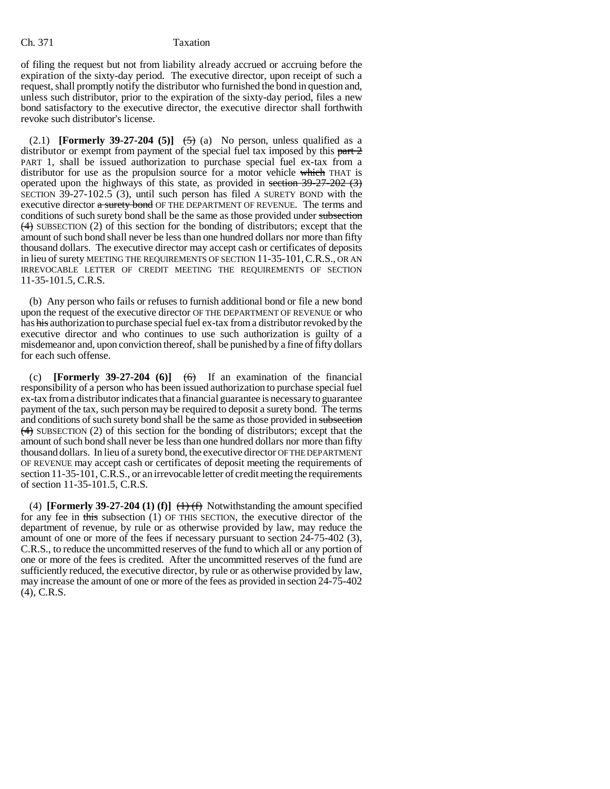of filing the request but not from liability already accrued or accruing before the expiration of the sixty-day period. The executive director, upon receipt of such a request, shall promptly notify the distributor who furnished the bond in question and, unless such distributor, prior to the expiration of the sixty-day period, files a new bond satisfactory to the executive director, the executive director shall forthwith revoke such distributor's license.

(2.1) **[Formerly 39-27-204 (5)]**  $\left(\frac{5}{2}\right)$  (a) No person, unless qualified as a distributor or exempt from payment of the special fuel tax imposed by this part  $\frac{2}{3}$ PART 1, shall be issued authorization to purchase special fuel ex-tax from a distributor for use as the propulsion source for a motor vehicle which THAT is operated upon the highways of this state, as provided in section 39-27-202 (3) SECTION 39-27-102.5 (3), until such person has filed A SURETY BOND with the executive director a surety bond OF THE DEPARTMENT OF REVENUE. The terms and conditions of such surety bond shall be the same as those provided under subsection (4) SUBSECTION (2) of this section for the bonding of distributors; except that the amount of such bond shall never be less than one hundred dollars nor more than fifty thousand dollars. The executive director may accept cash or certificates of deposits in lieu of surety MEETING THE REQUIREMENTS OF SECTION 11-35-101,C.R.S., OR AN IRREVOCABLE LETTER OF CREDIT MEETING THE REQUIREMENTS OF SECTION 11-35-101.5, C.R.S.

(b) Any person who fails or refuses to furnish additional bond or file a new bond upon the request of the executive director OF THE DEPARTMENT OF REVENUE or who has his authorization to purchase special fuel ex-tax from a distributor revoked by the executive director and who continues to use such authorization is guilty of a misdemeanor and, upon conviction thereof, shall be punished by a fine of fifty dollars for each such offense.

(c) **[Formerly 39-27-204 (6)]**  $\left(\frac{6}{9}\right)$  If an examination of the financial responsibility of a person who has been issued authorization to purchase special fuel ex-tax from a distributor indicates that a financial guarantee is necessary to guarantee payment of the tax, such person may be required to deposit a surety bond. The terms and conditions of such surety bond shall be the same as those provided in subsection  $(4)$  SUBSECTION (2) of this section for the bonding of distributors; except that the amount of such bond shall never be less than one hundred dollars nor more than fifty thousand dollars. In lieu of a surety bond, the executive director OF THE DEPARTMENT OF REVENUE may accept cash or certificates of deposit meeting the requirements of section 11-35-101, C.R.S., or an irrevocable letter of credit meeting the requirements of section 11-35-101.5, C.R.S.

(4) **[Formerly 39-27-204 (1) (f)]**  $\leftrightarrow$  **(1)** (f) Notwithstanding the amount specified for any fee in this subsection (1) OF THIS SECTION, the executive director of the department of revenue, by rule or as otherwise provided by law, may reduce the amount of one or more of the fees if necessary pursuant to section 24-75-402 (3), C.R.S., to reduce the uncommitted reserves of the fund to which all or any portion of one or more of the fees is credited. After the uncommitted reserves of the fund are sufficiently reduced, the executive director, by rule or as otherwise provided by law, may increase the amount of one or more of the fees as provided in section 24-75-402 (4), C.R.S.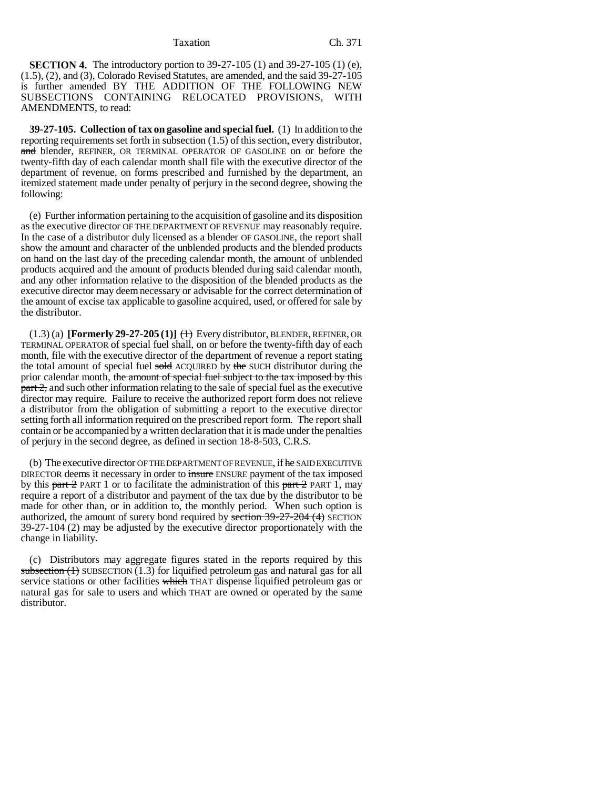**SECTION 4.** The introductory portion to 39-27-105 (1) and 39-27-105 (1) (e), (1.5), (2), and (3), Colorado Revised Statutes, are amended, and the said 39-27-105 is further amended BY THE ADDITION OF THE FOLLOWING NEW SUBSECTIONS CONTAINING RELOCATED PROVISIONS, WITH AMENDMENTS, to read:

**39-27-105. Collection of tax on gasoline and special fuel.** (1) In addition to the reporting requirements set forth in subsection (1.5) of this section, every distributor, and blender, REFINER, OR TERMINAL OPERATOR OF GASOLINE on or before the twenty-fifth day of each calendar month shall file with the executive director of the department of revenue, on forms prescribed and furnished by the department, an itemized statement made under penalty of perjury in the second degree, showing the following:

(e) Further information pertaining to the acquisition of gasoline and its disposition as the executive director OF THE DEPARTMENT OF REVENUE may reasonably require. In the case of a distributor duly licensed as a blender OF GASOLINE, the report shall show the amount and character of the unblended products and the blended products on hand on the last day of the preceding calendar month, the amount of unblended products acquired and the amount of products blended during said calendar month, and any other information relative to the disposition of the blended products as the executive director may deem necessary or advisable for the correct determination of the amount of excise tax applicable to gasoline acquired, used, or offered for sale by the distributor.

 $(1.3)$  (a) **[Formerly 29-27-205 (1)]**  $\leftrightarrow$  Every distributor, BLENDER, REFINER, OR TERMINAL OPERATOR of special fuel shall, on or before the twenty-fifth day of each month, file with the executive director of the department of revenue a report stating the total amount of special fuel sold ACQUIRED by the SUCH distributor during the prior calendar month, the amount of special fuel subject to the tax imposed by this  $part 2$ , and such other information relating to the sale of special fuel as the executive director may require. Failure to receive the authorized report form does not relieve a distributor from the obligation of submitting a report to the executive director setting forth all information required on the prescribed report form. The report shall contain or be accompanied by a written declaration that it is made under the penalties of perjury in the second degree, as defined in section 18-8-503, C.R.S.

(b) The executive director OF THE DEPARTMENT OF REVENUE, if he SAID EXECUTIVE DIRECTOR deems it necessary in order to insure ENSURE payment of the tax imposed by this part  $\frac{2}{3}$  PART 1 or to facilitate the administration of this part  $\frac{2}{3}$  PART 1, may require a report of a distributor and payment of the tax due by the distributor to be made for other than, or in addition to, the monthly period. When such option is authorized, the amount of surety bond required by section 39-27-204 (4) SECTION 39-27-104 (2) may be adjusted by the executive director proportionately with the change in liability.

(c) Distributors may aggregate figures stated in the reports required by this subsection  $(1)$  SUBSECTION  $(1.3)$  for liquified petroleum gas and natural gas for all service stations or other facilities which THAT dispense liquified petroleum gas or natural gas for sale to users and which THAT are owned or operated by the same distributor.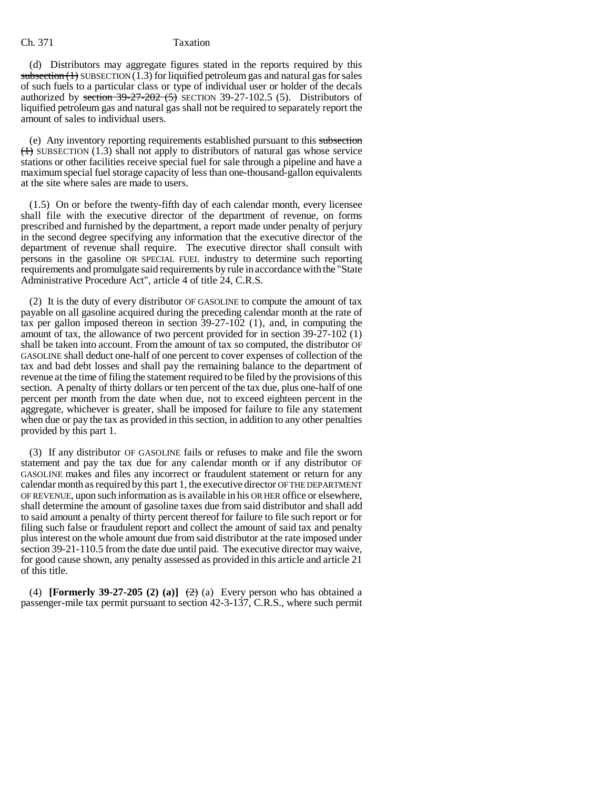(d) Distributors may aggregate figures stated in the reports required by this subsection  $(1)$  SUBSECTION  $(1.3)$  for liquified petroleum gas and natural gas for sales of such fuels to a particular class or type of individual user or holder of the decals authorized by section  $39-27-202$  (5) SECTION 39-27-102.5 (5). Distributors of liquified petroleum gas and natural gas shall not be required to separately report the amount of sales to individual users.

(e) Any inventory reporting requirements established pursuant to this subsection  $(1)$  SUBSECTION (1.3) shall not apply to distributors of natural gas whose service stations or other facilities receive special fuel for sale through a pipeline and have a maximum special fuel storage capacity of less than one-thousand-gallon equivalents at the site where sales are made to users.

(1.5) On or before the twenty-fifth day of each calendar month, every licensee shall file with the executive director of the department of revenue, on forms prescribed and furnished by the department, a report made under penalty of perjury in the second degree specifying any information that the executive director of the department of revenue shall require. The executive director shall consult with persons in the gasoline OR SPECIAL FUEL industry to determine such reporting requirements and promulgate said requirements by rule in accordance with the "State Administrative Procedure Act", article 4 of title 24, C.R.S.

(2) It is the duty of every distributor OF GASOLINE to compute the amount of tax payable on all gasoline acquired during the preceding calendar month at the rate of tax per gallon imposed thereon in section 39-27-102 (1), and, in computing the amount of tax, the allowance of two percent provided for in section 39-27-102 (1) shall be taken into account. From the amount of tax so computed, the distributor OF GASOLINE shall deduct one-half of one percent to cover expenses of collection of the tax and bad debt losses and shall pay the remaining balance to the department of revenue at the time of filing the statement required to be filed by the provisions of this section. A penalty of thirty dollars or ten percent of the tax due, plus one-half of one percent per month from the date when due, not to exceed eighteen percent in the aggregate, whichever is greater, shall be imposed for failure to file any statement when due or pay the tax as provided in this section, in addition to any other penalties provided by this part 1.

(3) If any distributor OF GASOLINE fails or refuses to make and file the sworn statement and pay the tax due for any calendar month or if any distributor OF GASOLINE makes and files any incorrect or fraudulent statement or return for any calendar month as required by this part 1, the executive director OF THE DEPARTMENT OF REVENUE, upon such information as is available in his OR HER office or elsewhere, shall determine the amount of gasoline taxes due from said distributor and shall add to said amount a penalty of thirty percent thereof for failure to file such report or for filing such false or fraudulent report and collect the amount of said tax and penalty plus interest on the whole amount due from said distributor at the rate imposed under section 39-21-110.5 from the date due until paid. The executive director may waive, for good cause shown, any penalty assessed as provided in this article and article 21 of this title.

(4) **[Formerly 39-27-205 (2) (a)]**  $\left(\frac{2}{2}\right)$  (a) Every person who has obtained a passenger-mile tax permit pursuant to section 42-3-137, C.R.S., where such permit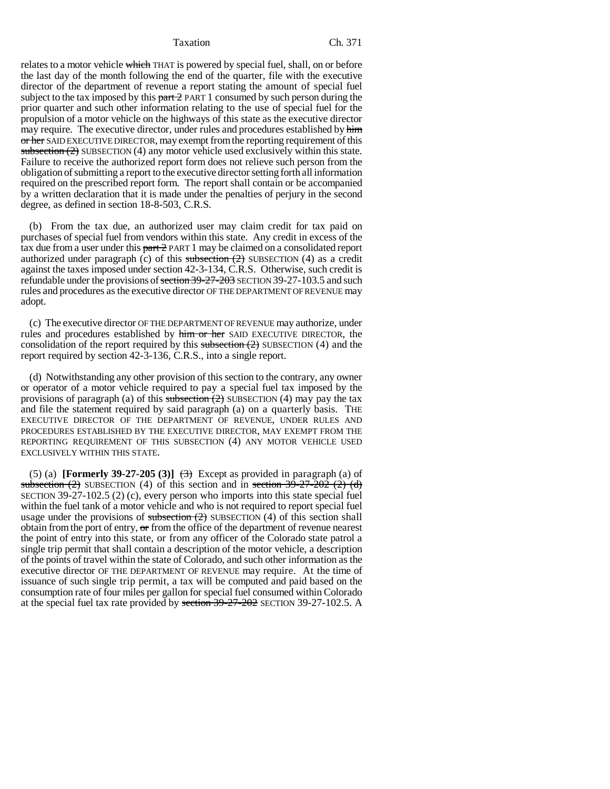relates to a motor vehicle which THAT is powered by special fuel, shall, on or before the last day of the month following the end of the quarter, file with the executive director of the department of revenue a report stating the amount of special fuel subject to the tax imposed by this part 2 PART 1 consumed by such person during the prior quarter and such other information relating to the use of special fuel for the propulsion of a motor vehicle on the highways of this state as the executive director may require. The executive director, under rules and procedures established by him or her SAID EXECUTIVE DIRECTOR, may exempt from the reporting requirement of this subsection  $(2)$  SUBSECTION  $(4)$  any motor vehicle used exclusively within this state. Failure to receive the authorized report form does not relieve such person from the obligation of submitting a report to the executive director setting forth all information required on the prescribed report form. The report shall contain or be accompanied by a written declaration that it is made under the penalties of perjury in the second degree, as defined in section 18-8-503, C.R.S.

(b) From the tax due, an authorized user may claim credit for tax paid on purchases of special fuel from vendors within this state. Any credit in excess of the tax due from a user under this part 2 PART 1 may be claimed on a consolidated report authorized under paragraph (c) of this subsection  $(2)$  SUBSECTION  $(4)$  as a credit against the taxes imposed under section 42-3-134, C.R.S. Otherwise, such credit is refundable under the provisions of <del>section 39-27-203</del> SECTION 39-27-103.5 and such rules and procedures as the executive director OF THE DEPARTMENT OF REVENUE may adopt.

(c) The executive director OF THE DEPARTMENT OF REVENUE may authorize, under rules and procedures established by him or her SAID EXECUTIVE DIRECTOR, the consolidation of the report required by this subsection  $(2)$  SUBSECTION  $(4)$  and the report required by section 42-3-136, C.R.S., into a single report.

(d) Notwithstanding any other provision of this section to the contrary, any owner or operator of a motor vehicle required to pay a special fuel tax imposed by the provisions of paragraph (a) of this subsection  $(2)$  SUBSECTION (4) may pay the tax and file the statement required by said paragraph (a) on a quarterly basis. THE EXECUTIVE DIRECTOR OF THE DEPARTMENT OF REVENUE, UNDER RULES AND PROCEDURES ESTABLISHED BY THE EXECUTIVE DIRECTOR, MAY EXEMPT FROM THE REPORTING REQUIREMENT OF THIS SUBSECTION (4) ANY MOTOR VEHICLE USED EXCLUSIVELY WITHIN THIS STATE.

(5) (a) **[Formerly 39-27-205 (3)]**  $\leftrightarrow$  Except as provided in paragraph (a) of subsection  $(2)$  SUBSECTION  $(4)$  of this section and in section 39-27-202  $(2)$   $(d)$ SECTION 39-27-102.5 (2) (c), every person who imports into this state special fuel within the fuel tank of a motor vehicle and who is not required to report special fuel usage under the provisions of  $\frac{\text{subsection}(2)}{2}$  SUBSECTION (4) of this section shall obtain from the port of entry,  $\sigma$  from the office of the department of revenue nearest the point of entry into this state, or from any officer of the Colorado state patrol a single trip permit that shall contain a description of the motor vehicle, a description of the points of travel within the state of Colorado, and such other information as the executive director OF THE DEPARTMENT OF REVENUE may require. At the time of issuance of such single trip permit, a tax will be computed and paid based on the consumption rate of four miles per gallon for special fuel consumed within Colorado at the special fuel tax rate provided by section 39-27-202 SECTION 39-27-102.5. A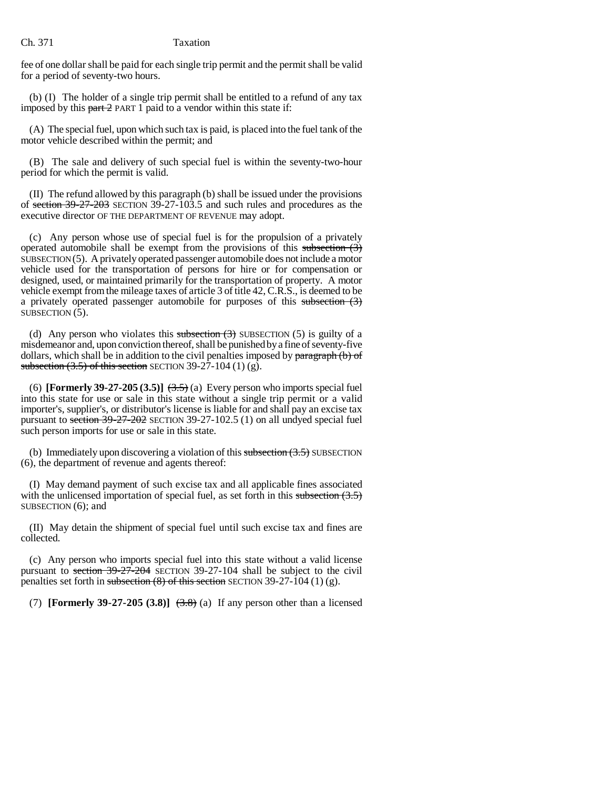fee of one dollar shall be paid for each single trip permit and the permit shall be valid for a period of seventy-two hours.

(b) (I) The holder of a single trip permit shall be entitled to a refund of any tax imposed by this  $part 2$  PART 1 paid to a vendor within this state if:

(A) The special fuel, upon which such tax is paid, is placed into the fuel tank of the motor vehicle described within the permit; and

(B) The sale and delivery of such special fuel is within the seventy-two-hour period for which the permit is valid.

(II) The refund allowed by this paragraph (b) shall be issued under the provisions of section 39-27-203 SECTION 39-27-103.5 and such rules and procedures as the executive director OF THE DEPARTMENT OF REVENUE may adopt.

(c) Any person whose use of special fuel is for the propulsion of a privately operated automobile shall be exempt from the provisions of this subsection  $(3)$ SUBSECTION (5). A privately operated passenger automobile does not include a motor vehicle used for the transportation of persons for hire or for compensation or designed, used, or maintained primarily for the transportation of property. A motor vehicle exempt from the mileage taxes of article 3 of title 42, C.R.S., is deemed to be a privately operated passenger automobile for purposes of this subsection  $(3)$ SUBSECTION (5).

(d) Any person who violates this subsection  $(3)$  SUBSECTION (5) is guilty of a misdemeanor and, upon conviction thereof, shall be punished by a fine of seventy-five dollars, which shall be in addition to the civil penalties imposed by paragraph (b) of subsection  $(3.5)$  of this section SECTION 39-27-104 (1) (g).

(6) **[Formerly 39-27-205 (3.5)]**  $(3.5)$  (a) Every person who imports special fuel into this state for use or sale in this state without a single trip permit or a valid importer's, supplier's, or distributor's license is liable for and shall pay an excise tax pursuant to section 39-27-202 SECTION 39-27-102.5 (1) on all undyed special fuel such person imports for use or sale in this state.

(b) Immediately upon discovering a violation of this subsection  $(3.5)$  SUBSECTION (6), the department of revenue and agents thereof:

(I) May demand payment of such excise tax and all applicable fines associated with the unlicensed importation of special fuel, as set forth in this subsection  $(3.5)$ SUBSECTION (6); and

(II) May detain the shipment of special fuel until such excise tax and fines are collected.

(c) Any person who imports special fuel into this state without a valid license pursuant to section 39-27-204 SECTION 39-27-104 shall be subject to the civil penalties set forth in subsection  $(8)$  of this section SECTION 39-27-104 (1) (g).

(7) **[Formerly 39-27-205 (3.8)]**  $(3.8)$  (a) If any person other than a licensed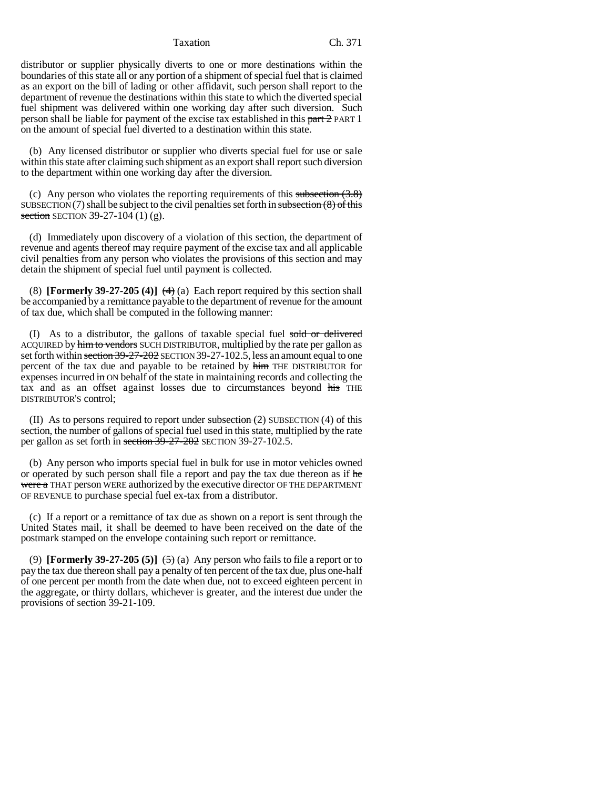distributor or supplier physically diverts to one or more destinations within the boundaries of this state all or any portion of a shipment of special fuel that is claimed as an export on the bill of lading or other affidavit, such person shall report to the department of revenue the destinations within this state to which the diverted special fuel shipment was delivered within one working day after such diversion. Such person shall be liable for payment of the excise tax established in this  $part 2$  PART 1 on the amount of special fuel diverted to a destination within this state.

(b) Any licensed distributor or supplier who diverts special fuel for use or sale within this state after claiming such shipment as an export shall report such diversion to the department within one working day after the diversion.

(c) Any person who violates the reporting requirements of this subsection  $(3.8)$ SUBSECTION (7) shall be subject to the civil penalties set forth in subsection  $(8)$  of this section SECTION 39-27-104 (1) (g).

(d) Immediately upon discovery of a violation of this section, the department of revenue and agents thereof may require payment of the excise tax and all applicable civil penalties from any person who violates the provisions of this section and may detain the shipment of special fuel until payment is collected.

(8) **[Formerly 39-27-205 (4)]**  $(4)$  (a) Each report required by this section shall be accompanied by a remittance payable to the department of revenue for the amount of tax due, which shall be computed in the following manner:

(I) As to a distributor, the gallons of taxable special fuel sold or delivered ACQUIRED by him to vendors SUCH DISTRIBUTOR, multiplied by the rate per gallon as set forth within section 39-27-202 SECTION 39-27-102.5, less an amount equal to one percent of the tax due and payable to be retained by him THE DISTRIBUTOR for expenses incurred in ON behalf of the state in maintaining records and collecting the tax and as an offset against losses due to circumstances beyond his THE DISTRIBUTOR'S control;

(II) As to persons required to report under subsection  $(2)$  SUBSECTION  $(4)$  of this section, the number of gallons of special fuel used in this state, multiplied by the rate per gallon as set forth in section 39-27-202 SECTION 39-27-102.5.

(b) Any person who imports special fuel in bulk for use in motor vehicles owned or operated by such person shall file a report and pay the tax due thereon as if he were a THAT person WERE authorized by the executive director OF THE DEPARTMENT OF REVENUE to purchase special fuel ex-tax from a distributor.

(c) If a report or a remittance of tax due as shown on a report is sent through the United States mail, it shall be deemed to have been received on the date of the postmark stamped on the envelope containing such report or remittance.

(9) **[Formerly 39-27-205 (5)]**  $\leftarrow$  (5) Any person who fails to file a report or to pay the tax due thereon shall pay a penalty of ten percent of the tax due, plus one-half of one percent per month from the date when due, not to exceed eighteen percent in the aggregate, or thirty dollars, whichever is greater, and the interest due under the provisions of section 39-21-109.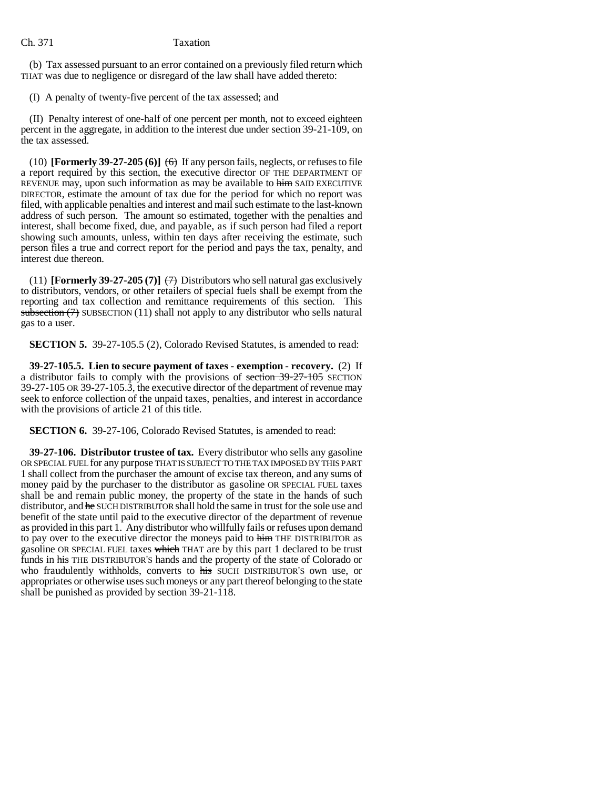(b) Tax assessed pursuant to an error contained on a previously filed return which THAT was due to negligence or disregard of the law shall have added thereto:

(I) A penalty of twenty-five percent of the tax assessed; and

(II) Penalty interest of one-half of one percent per month, not to exceed eighteen percent in the aggregate, in addition to the interest due under section 39-21-109, on the tax assessed.

(10) **[Formerly 39-27-205 (6)]**  $\leftrightarrow$  If any person fails, neglects, or refuses to file a report required by this section, the executive director OF THE DEPARTMENT OF REVENUE may, upon such information as may be available to him SAID EXECUTIVE DIRECTOR, estimate the amount of tax due for the period for which no report was filed, with applicable penalties and interest and mail such estimate to the last-known address of such person. The amount so estimated, together with the penalties and interest, shall become fixed, due, and payable, as if such person had filed a report showing such amounts, unless, within ten days after receiving the estimate, such person files a true and correct report for the period and pays the tax, penalty, and interest due thereon.

(11) **[Formerly 39-27-205 (7)]**  $\left(\frac{7}{7}\right)$  Distributors who sell natural gas exclusively to distributors, vendors, or other retailers of special fuels shall be exempt from the reporting and tax collection and remittance requirements of this section. This subsection  $(7)$  SUBSECTION  $(11)$  shall not apply to any distributor who sells natural gas to a user.

**SECTION 5.** 39-27-105.5 (2), Colorado Revised Statutes, is amended to read:

**39-27-105.5. Lien to secure payment of taxes - exemption - recovery.** (2) If a distributor fails to comply with the provisions of section 39-27-105 SECTION 39-27-105 OR 39-27-105.3, the executive director of the department of revenue may seek to enforce collection of the unpaid taxes, penalties, and interest in accordance with the provisions of article 21 of this title.

**SECTION 6.** 39-27-106, Colorado Revised Statutes, is amended to read:

**39-27-106. Distributor trustee of tax.** Every distributor who sells any gasoline OR SPECIAL FUEL for any purpose THAT IS SUBJECT TO THE TAX IMPOSED BY THIS PART 1 shall collect from the purchaser the amount of excise tax thereon, and any sums of money paid by the purchaser to the distributor as gasoline OR SPECIAL FUEL taxes shall be and remain public money, the property of the state in the hands of such distributor, and he SUCH DISTRIBUTOR shall hold the same in trust for the sole use and benefit of the state until paid to the executive director of the department of revenue as provided in this part 1. Any distributor who willfully fails or refuses upon demand to pay over to the executive director the moneys paid to him THE DISTRIBUTOR as gasoline OR SPECIAL FUEL taxes which THAT are by this part 1 declared to be trust funds in his THE DISTRIBUTOR'S hands and the property of the state of Colorado or who fraudulently withholds, converts to his SUCH DISTRIBUTOR'S own use, or appropriates or otherwise uses such moneys or any part thereof belonging to the state shall be punished as provided by section 39-21-118.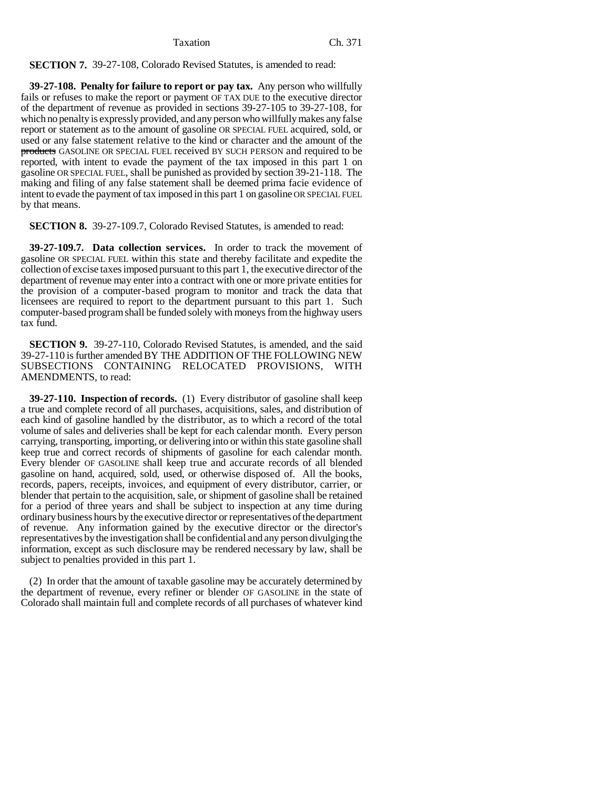# **SECTION 7.** 39-27-108, Colorado Revised Statutes, is amended to read:

**39-27-108. Penalty for failure to report or pay tax.** Any person who willfully fails or refuses to make the report or payment OF TAX DUE to the executive director of the department of revenue as provided in sections 39-27-105 to 39-27-108, for which no penalty is expressly provided, and any person who willfully makes any false report or statement as to the amount of gasoline OR SPECIAL FUEL acquired, sold, or used or any false statement relative to the kind or character and the amount of the products GASOLINE OR SPECIAL FUEL received BY SUCH PERSON and required to be reported, with intent to evade the payment of the tax imposed in this part 1 on gasoline OR SPECIAL FUEL, shall be punished as provided by section 39-21-118. The making and filing of any false statement shall be deemed prima facie evidence of intent to evade the payment of tax imposed in this part 1 on gasoline OR SPECIAL FUEL by that means.

**SECTION 8.** 39-27-109.7, Colorado Revised Statutes, is amended to read:

**39-27-109.7. Data collection services.** In order to track the movement of gasoline OR SPECIAL FUEL within this state and thereby facilitate and expedite the collection of excise taxes imposed pursuant to this part 1, the executive director of the department of revenue may enter into a contract with one or more private entities for the provision of a computer-based program to monitor and track the data that licensees are required to report to the department pursuant to this part 1. Such computer-based program shall be funded solely with moneys from the highway users tax fund.

**SECTION 9.** 39-27-110, Colorado Revised Statutes, is amended, and the said 39-27-110 is further amended BY THE ADDITION OF THE FOLLOWING NEW SUBSECTIONS CONTAINING RELOCATED PROVISIONS, WITH AMENDMENTS, to read:

**39-27-110. Inspection of records.** (1) Every distributor of gasoline shall keep a true and complete record of all purchases, acquisitions, sales, and distribution of each kind of gasoline handled by the distributor, as to which a record of the total volume of sales and deliveries shall be kept for each calendar month. Every person carrying, transporting, importing, or delivering into or within this state gasoline shall keep true and correct records of shipments of gasoline for each calendar month. Every blender OF GASOLINE shall keep true and accurate records of all blended gasoline on hand, acquired, sold, used, or otherwise disposed of. All the books, records, papers, receipts, invoices, and equipment of every distributor, carrier, or blender that pertain to the acquisition, sale, or shipment of gasoline shall be retained for a period of three years and shall be subject to inspection at any time during ordinary business hours by the executive director or representatives of the department of revenue. Any information gained by the executive director or the director's representatives by the investigation shall be confidential and any person divulging the information, except as such disclosure may be rendered necessary by law, shall be subject to penalties provided in this part 1.

(2) In order that the amount of taxable gasoline may be accurately determined by the department of revenue, every refiner or blender OF GASOLINE in the state of Colorado shall maintain full and complete records of all purchases of whatever kind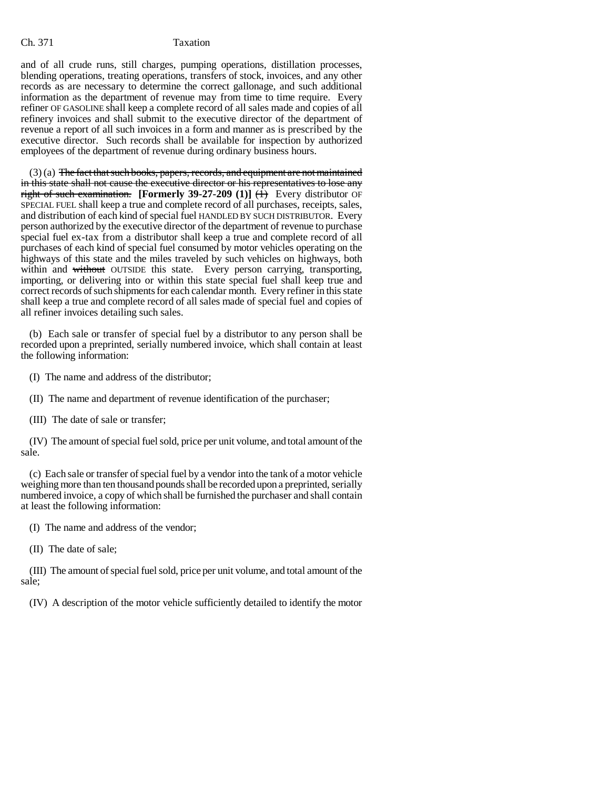and of all crude runs, still charges, pumping operations, distillation processes, blending operations, treating operations, transfers of stock, invoices, and any other records as are necessary to determine the correct gallonage, and such additional information as the department of revenue may from time to time require. Every refiner OF GASOLINE shall keep a complete record of all sales made and copies of all refinery invoices and shall submit to the executive director of the department of revenue a report of all such invoices in a form and manner as is prescribed by the executive director. Such records shall be available for inspection by authorized employees of the department of revenue during ordinary business hours.

 $(3)$  (a) The fact that such books, papers, records, and equipment are not maintained in this state shall not cause the executive director or his representatives to lose any right of such examination. **[Formerly 39-27-209 (1)]**  $(\hat{H})$  Every distributor OF SPECIAL FUEL shall keep a true and complete record of all purchases, receipts, sales, and distribution of each kind of special fuel HANDLED BY SUCH DISTRIBUTOR. Every person authorized by the executive director of the department of revenue to purchase special fuel ex-tax from a distributor shall keep a true and complete record of all purchases of each kind of special fuel consumed by motor vehicles operating on the highways of this state and the miles traveled by such vehicles on highways, both within and without OUTSIDE this state. Every person carrying, transporting, importing, or delivering into or within this state special fuel shall keep true and correct records of such shipments for each calendar month. Every refiner in this state shall keep a true and complete record of all sales made of special fuel and copies of all refiner invoices detailing such sales.

(b) Each sale or transfer of special fuel by a distributor to any person shall be recorded upon a preprinted, serially numbered invoice, which shall contain at least the following information:

(I) The name and address of the distributor;

(II) The name and department of revenue identification of the purchaser;

(III) The date of sale or transfer;

(IV) The amount of special fuel sold, price per unit volume, and total amount of the sale.

(c) Each sale or transfer of special fuel by a vendor into the tank of a motor vehicle weighing more than ten thousand pounds shall be recorded upon a preprinted, serially numbered invoice, a copy of which shall be furnished the purchaser and shall contain at least the following information:

(I) The name and address of the vendor;

(II) The date of sale;

(III) The amount of special fuel sold, price per unit volume, and total amount of the sale;

(IV) A description of the motor vehicle sufficiently detailed to identify the motor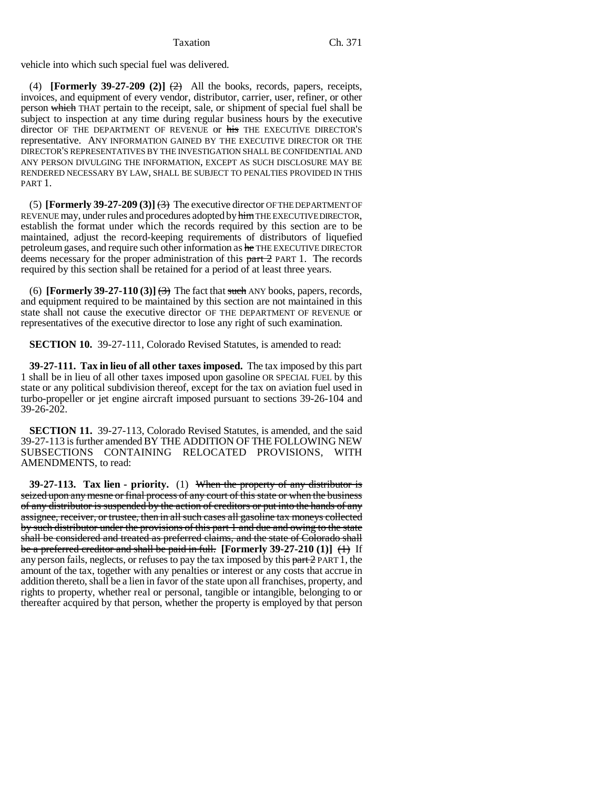vehicle into which such special fuel was delivered.

(4) **[Formerly 39-27-209 (2)]**  $\left(\frac{A}{A}\right)$  All the books, records, papers, receipts, invoices, and equipment of every vendor, distributor, carrier, user, refiner, or other person which THAT pertain to the receipt, sale, or shipment of special fuel shall be subject to inspection at any time during regular business hours by the executive director OF THE DEPARTMENT OF REVENUE or his THE EXECUTIVE DIRECTOR'S representative. ANY INFORMATION GAINED BY THE EXECUTIVE DIRECTOR OR THE DIRECTOR'S REPRESENTATIVES BY THE INVESTIGATION SHALL BE CONFIDENTIAL AND ANY PERSON DIVULGING THE INFORMATION, EXCEPT AS SUCH DISCLOSURE MAY BE RENDERED NECESSARY BY LAW, SHALL BE SUBJECT TO PENALTIES PROVIDED IN THIS PART 1.

(5) **[Formerly 39-27-209 (3)]**  $\left(\frac{3}{2}\right)$  The executive director OFTHE DEPARTMENT OF REVENUE may, under rules and procedures adopted by him THE EXECUTIVE DIRECTOR, establish the format under which the records required by this section are to be maintained, adjust the record-keeping requirements of distributors of liquefied petroleum gases, and require such other information as he THE EXECUTIVE DIRECTOR deems necessary for the proper administration of this part 2 PART 1. The records required by this section shall be retained for a period of at least three years.

(6) **[Formerly 39-27-110 (3)]**  $\leftrightarrow$  The fact that such ANY books, papers, records, and equipment required to be maintained by this section are not maintained in this state shall not cause the executive director OF THE DEPARTMENT OF REVENUE or representatives of the executive director to lose any right of such examination.

**SECTION 10.** 39-27-111, Colorado Revised Statutes, is amended to read:

**39-27-111. Tax in lieu of all other taxes imposed.** The tax imposed by this part 1 shall be in lieu of all other taxes imposed upon gasoline OR SPECIAL FUEL by this state or any political subdivision thereof, except for the tax on aviation fuel used in turbo-propeller or jet engine aircraft imposed pursuant to sections 39-26-104 and 39-26-202.

**SECTION 11.** 39-27-113, Colorado Revised Statutes, is amended, and the said 39-27-113 is further amended BY THE ADDITION OF THE FOLLOWING NEW SUBSECTIONS CONTAINING RELOCATED PROVISIONS, WITH AMENDMENTS, to read:

**39-27-113. Tax lien - priority.** (1) When the property of any distributor is seized upon any mesne or final process of any court of this state or when the business of any distributor is suspended by the action of creditors or put into the hands of any assignee, receiver, or trustee, then in all such cases all gasoline tax moneys collected by such distributor under the provisions of this part 1 and due and owing to the state shall be considered and treated as preferred claims, and the state of Colorado shall be a preferred creditor and shall be paid in full. **[Formerly 39-27-210 (1)]** (1) If any person fails, neglects, or refuses to pay the tax imposed by this  $part 2$  PART 1, the amount of the tax, together with any penalties or interest or any costs that accrue in addition thereto, shall be a lien in favor of the state upon all franchises, property, and rights to property, whether real or personal, tangible or intangible, belonging to or thereafter acquired by that person, whether the property is employed by that person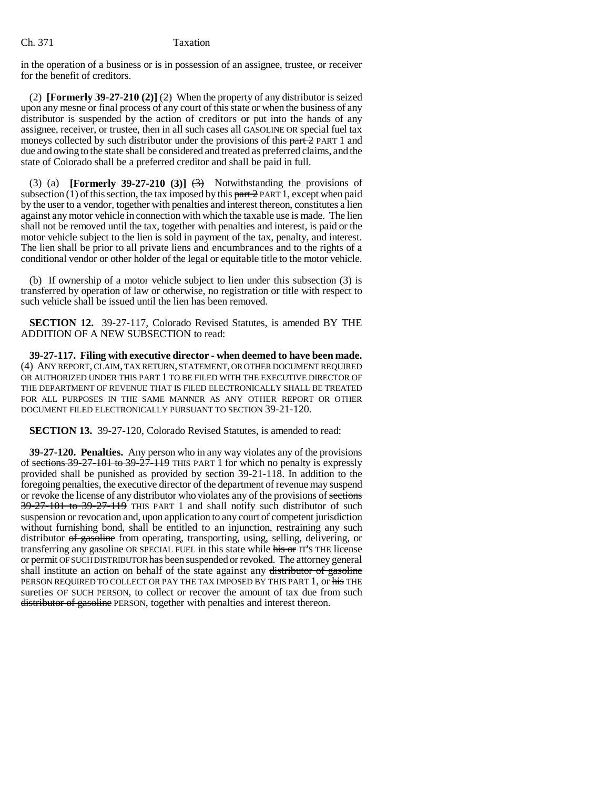in the operation of a business or is in possession of an assignee, trustee, or receiver for the benefit of creditors.

(2) **[Formerly 39-27-210 (2)]**  $\left(\frac{2}{2}\right)$  When the property of any distributor is seized upon any mesne or final process of any court of this state or when the business of any distributor is suspended by the action of creditors or put into the hands of any assignee, receiver, or trustee, then in all such cases all GASOLINE OR special fuel tax moneys collected by such distributor under the provisions of this part 2 PART 1 and due and owing to the state shall be considered and treated as preferred claims, and the state of Colorado shall be a preferred creditor and shall be paid in full.

(3) (a) **[Formerly 39-27-210 (3)]**  $\left(\frac{3}{2}\right)$  Notwithstanding the provisions of subsection (1) of this section, the tax imposed by this  $part 2$  PART 1, except when paid by the user to a vendor, together with penalties and interest thereon, constitutes a lien against any motor vehicle in connection with which the taxable use is made. The lien shall not be removed until the tax, together with penalties and interest, is paid or the motor vehicle subject to the lien is sold in payment of the tax, penalty, and interest. The lien shall be prior to all private liens and encumbrances and to the rights of a conditional vendor or other holder of the legal or equitable title to the motor vehicle.

(b) If ownership of a motor vehicle subject to lien under this subsection (3) is transferred by operation of law or otherwise, no registration or title with respect to such vehicle shall be issued until the lien has been removed.

**SECTION 12.** 39-27-117, Colorado Revised Statutes, is amended BY THE ADDITION OF A NEW SUBSECTION to read:

**39-27-117. Filing with executive director - when deemed to have been made.** (4) ANY REPORT, CLAIM, TAX RETURN, STATEMENT, OR OTHER DOCUMENT REQUIRED OR AUTHORIZED UNDER THIS PART 1 TO BE FILED WITH THE EXECUTIVE DIRECTOR OF THE DEPARTMENT OF REVENUE THAT IS FILED ELECTRONICALLY SHALL BE TREATED FOR ALL PURPOSES IN THE SAME MANNER AS ANY OTHER REPORT OR OTHER DOCUMENT FILED ELECTRONICALLY PURSUANT TO SECTION 39-21-120.

**SECTION 13.** 39-27-120, Colorado Revised Statutes, is amended to read:

**39-27-120. Penalties.** Any person who in any way violates any of the provisions of sections 39-27-101 to 39-27-119 THIS PART 1 for which no penalty is expressly provided shall be punished as provided by section 39-21-118. In addition to the foregoing penalties, the executive director of the department of revenue may suspend or revoke the license of any distributor who violates any of the provisions of sections 39-27-101 to 39-27-119 THIS PART 1 and shall notify such distributor of such suspension or revocation and, upon application to any court of competent jurisdiction without furnishing bond, shall be entitled to an injunction, restraining any such distributor <del>of gasoline</del> from operating, transporting, using, selling, delivering, or transferring any gasoline OR SPECIAL FUEL in this state while his or IT'S THE license or permit OF SUCH DISTRIBUTOR has been suspended or revoked. The attorney general shall institute an action on behalf of the state against any distributor of gasoline PERSON REQUIRED TO COLLECT OR PAY THE TAX IMPOSED BY THIS PART 1, or his THE sureties OF SUCH PERSON, to collect or recover the amount of tax due from such distributor of gasoline PERSON, together with penalties and interest thereon.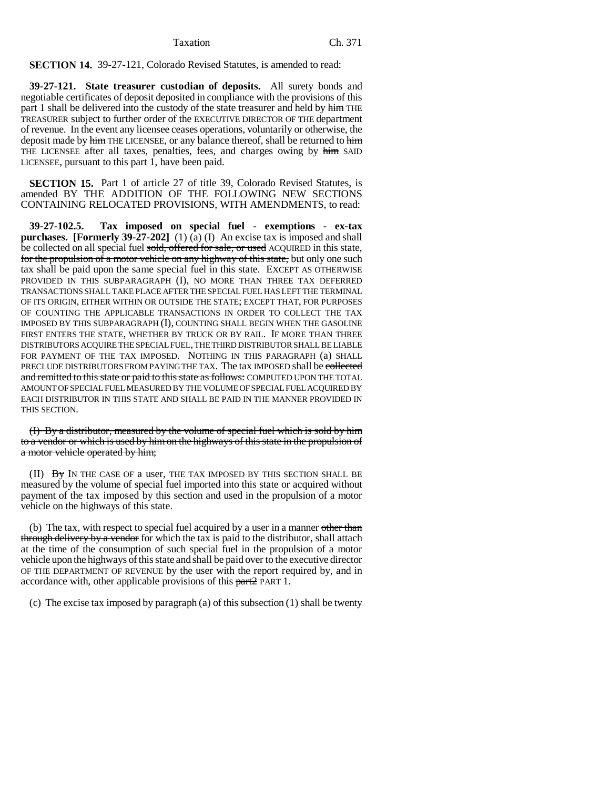# **SECTION 14.** 39-27-121, Colorado Revised Statutes, is amended to read:

**39-27-121. State treasurer custodian of deposits.** All surety bonds and negotiable certificates of deposit deposited in compliance with the provisions of this part 1 shall be delivered into the custody of the state treasurer and held by him THE TREASURER subject to further order of the EXECUTIVE DIRECTOR OF THE department of revenue. In the event any licensee ceases operations, voluntarily or otherwise, the deposit made by him THE LICENSEE, or any balance thereof, shall be returned to him THE LICENSEE after all taxes, penalties, fees, and charges owing by him SAID LICENSEE, pursuant to this part 1, have been paid.

**SECTION 15.** Part 1 of article 27 of title 39, Colorado Revised Statutes, is amended BY THE ADDITION OF THE FOLLOWING NEW SECTIONS CONTAINING RELOCATED PROVISIONS, WITH AMENDMENTS, to read:

**39-27-102.5. Tax imposed on special fuel - exemptions - ex-tax purchases. [Formerly 39-27-202]** (1) (a) (I) An excise tax is imposed and shall be collected on all special fuel sold, offered for sale, or used ACQUIRED in this state, for the propulsion of a motor vehicle on any highway of this state, but only one such tax shall be paid upon the same special fuel in this state. EXCEPT AS OTHERWISE PROVIDED IN THIS SUBPARAGRAPH (I), NO MORE THAN THREE TAX DEFERRED TRANSACTIONS SHALL TAKE PLACE AFTER THE SPECIAL FUEL HAS LEFT THE TERMINAL OF ITS ORIGIN, EITHER WITHIN OR OUTSIDE THE STATE; EXCEPT THAT, FOR PURPOSES OF COUNTING THE APPLICABLE TRANSACTIONS IN ORDER TO COLLECT THE TAX IMPOSED BY THIS SUBPARAGRAPH (I), COUNTING SHALL BEGIN WHEN THE GASOLINE FIRST ENTERS THE STATE, WHETHER BY TRUCK OR BY RAIL. IF MORE THAN THREE DISTRIBUTORS ACQUIRE THE SPECIAL FUEL, THE THIRD DISTRIBUTOR SHALL BE LIABLE FOR PAYMENT OF THE TAX IMPOSED. NOTHING IN THIS PARAGRAPH (a) SHALL PRECLUDE DISTRIBUTORS FROM PAYING THE TAX. The tax IMPOSED shall be collected and remitted to this state or paid to this state as follows: COMPUTED UPON THE TOTAL AMOUNT OF SPECIAL FUEL MEASURED BY THE VOLUME OF SPECIAL FUEL ACQUIRED BY EACH DISTRIBUTOR IN THIS STATE AND SHALL BE PAID IN THE MANNER PROVIDED IN THIS SECTION.

(I) By a distributor, measured by the volume of special fuel which is sold by him to a vendor or which is used by him on the highways of this state in the propulsion of a motor vehicle operated by him;

 $(II)$  By IN THE CASE OF a user, THE TAX IMPOSED BY THIS SECTION SHALL BE measured by the volume of special fuel imported into this state or acquired without payment of the tax imposed by this section and used in the propulsion of a motor vehicle on the highways of this state.

(b) The tax, with respect to special fuel acquired by a user in a manner other than through delivery by a vendor for which the tax is paid to the distributor, shall attach at the time of the consumption of such special fuel in the propulsion of a motor vehicle upon the highways of this state and shall be paid over to the executive director OF THE DEPARTMENT OF REVENUE by the user with the report required by, and in accordance with, other applicable provisions of this part? PART 1.

(c) The excise tax imposed by paragraph (a) of this subsection (1) shall be twenty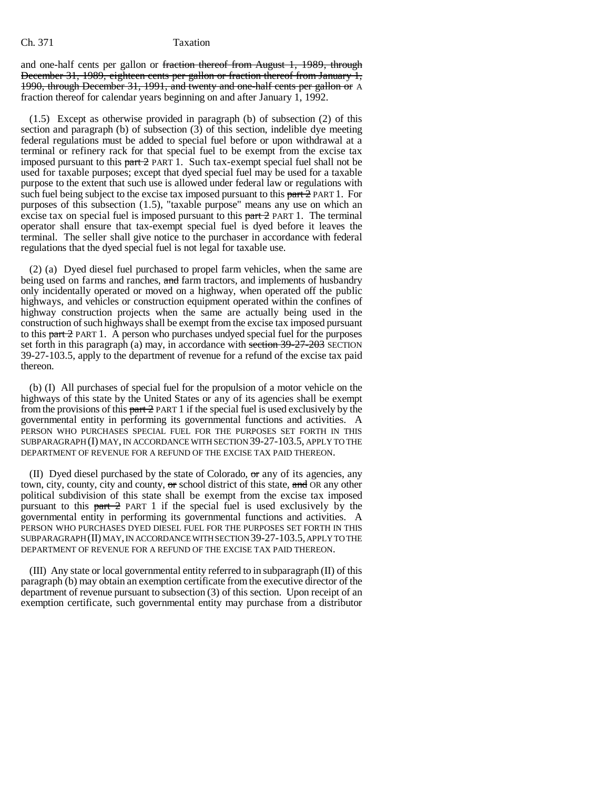and one-half cents per gallon or fraction thereof from August 1, 1989, through December 31, 1989, eighteen cents per gallon or fraction thereof from January 1, 1990, through December 31, 1991, and twenty and one-half cents per gallon or A fraction thereof for calendar years beginning on and after January 1, 1992.

(1.5) Except as otherwise provided in paragraph (b) of subsection (2) of this section and paragraph (b) of subsection (3) of this section, indelible dye meeting federal regulations must be added to special fuel before or upon withdrawal at a terminal or refinery rack for that special fuel to be exempt from the excise tax imposed pursuant to this  $part 2$  PART 1. Such tax-exempt special fuel shall not be used for taxable purposes; except that dyed special fuel may be used for a taxable purpose to the extent that such use is allowed under federal law or regulations with such fuel being subject to the excise tax imposed pursuant to this  $part 2$  PART 1. For purposes of this subsection (1.5), "taxable purpose" means any use on which an excise tax on special fuel is imposed pursuant to this  $part 2$  PART 1. The terminal operator shall ensure that tax-exempt special fuel is dyed before it leaves the terminal. The seller shall give notice to the purchaser in accordance with federal regulations that the dyed special fuel is not legal for taxable use.

(2) (a) Dyed diesel fuel purchased to propel farm vehicles, when the same are being used on farms and ranches, and farm tractors, and implements of husbandry only incidentally operated or moved on a highway, when operated off the public highways, and vehicles or construction equipment operated within the confines of highway construction projects when the same are actually being used in the construction of such highways shall be exempt from the excise tax imposed pursuant to this part 2 PART 1. A person who purchases undyed special fuel for the purposes set forth in this paragraph (a) may, in accordance with section 39-27-203 SECTION 39-27-103.5, apply to the department of revenue for a refund of the excise tax paid thereon.

(b) (I) All purchases of special fuel for the propulsion of a motor vehicle on the highways of this state by the United States or any of its agencies shall be exempt from the provisions of this  $part 2$  PART 1 if the special fuel is used exclusively by the governmental entity in performing its governmental functions and activities. A PERSON WHO PURCHASES SPECIAL FUEL FOR THE PURPOSES SET FORTH IN THIS SUBPARAGRAPH (I) MAY, IN ACCORDANCE WITH SECTION 39-27-103.5, APPLY TO THE DEPARTMENT OF REVENUE FOR A REFUND OF THE EXCISE TAX PAID THEREON.

(II) Dyed diesel purchased by the state of Colorado, or any of its agencies, any town, city, county, city and county,  $\sigma$  school district of this state,  $\sigma$ d OR any other political subdivision of this state shall be exempt from the excise tax imposed pursuant to this  $part 2$  PART 1 if the special fuel is used exclusively by the governmental entity in performing its governmental functions and activities. A PERSON WHO PURCHASES DYED DIESEL FUEL FOR THE PURPOSES SET FORTH IN THIS SUBPARAGRAPH (II) MAY, IN ACCORDANCE WITH SECTION 39-27-103.5, APPLY TO THE DEPARTMENT OF REVENUE FOR A REFUND OF THE EXCISE TAX PAID THEREON.

(III) Any state or local governmental entity referred to in subparagraph (II) of this paragraph (b) may obtain an exemption certificate from the executive director of the department of revenue pursuant to subsection (3) of this section. Upon receipt of an exemption certificate, such governmental entity may purchase from a distributor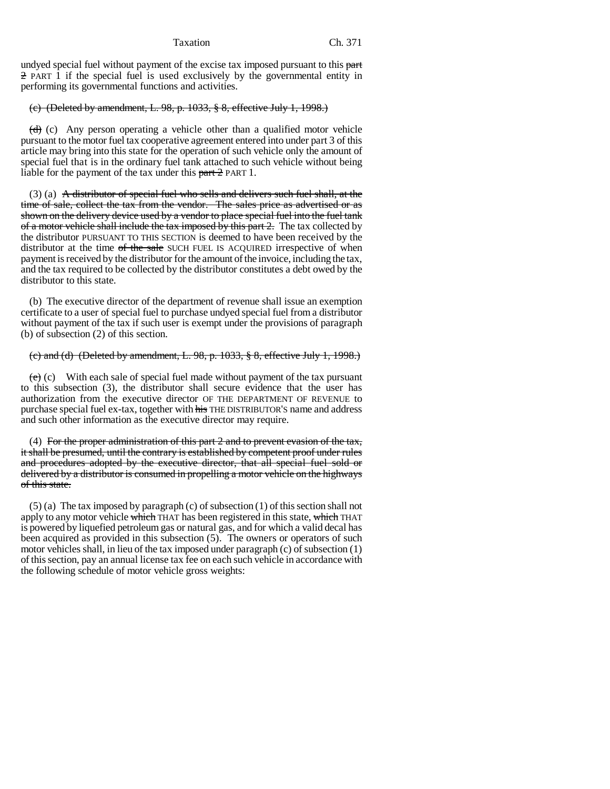undyed special fuel without payment of the excise tax imposed pursuant to this part 2 PART 1 if the special fuel is used exclusively by the governmental entity in performing its governmental functions and activities.

# (c) (Deleted by amendment, L. 98, p. 1033, § 8, effective July 1, 1998.)

 $(d)$  (c) Any person operating a vehicle other than a qualified motor vehicle pursuant to the motor fuel tax cooperative agreement entered into under part 3 of this article may bring into this state for the operation of such vehicle only the amount of special fuel that is in the ordinary fuel tank attached to such vehicle without being liable for the payment of the tax under this  $part 2$  PART 1.

 $(3)$  (a) A distributor of special fuel who sells and delivers such fuel shall, at the time of sale, collect the tax from the vendor. The sales price as advertised or as shown on the delivery device used by a vendor to place special fuel into the fuel tank of a motor vehicle shall include the tax imposed by this part 2. The tax collected by the distributor PURSUANT TO THIS SECTION is deemed to have been received by the distributor at the time of the sale SUCH FUEL IS ACQUIRED irrespective of when payment is received by the distributor for the amount of the invoice, including the tax, and the tax required to be collected by the distributor constitutes a debt owed by the distributor to this state.

(b) The executive director of the department of revenue shall issue an exemption certificate to a user of special fuel to purchase undyed special fuel from a distributor without payment of the tax if such user is exempt under the provisions of paragraph (b) of subsection (2) of this section.

# (c) and (d) (Deleted by amendment, L. 98, p. 1033, § 8, effective July 1, 1998.)

 $(e)$  (c) With each sale of special fuel made without payment of the tax pursuant to this subsection (3), the distributor shall secure evidence that the user has authorization from the executive director OF THE DEPARTMENT OF REVENUE to purchase special fuel ex-tax, together with his THE DISTRIBUTOR'S name and address and such other information as the executive director may require.

(4) For the proper administration of this part  $2$  and to prevent evasion of the tax, it shall be presumed, until the contrary is established by competent proof under rules and procedures adopted by the executive director, that all special fuel sold or delivered by a distributor is consumed in propelling a motor vehicle on the highways of this state.

(5) (a) The tax imposed by paragraph (c) of subsection (1) of this section shall not apply to any motor vehicle which THAT has been registered in this state, which THAT is powered by liquefied petroleum gas or natural gas, and for which a valid decal has been acquired as provided in this subsection (5). The owners or operators of such motor vehicles shall, in lieu of the tax imposed under paragraph (c) of subsection (1) of this section, pay an annual license tax fee on each such vehicle in accordance with the following schedule of motor vehicle gross weights: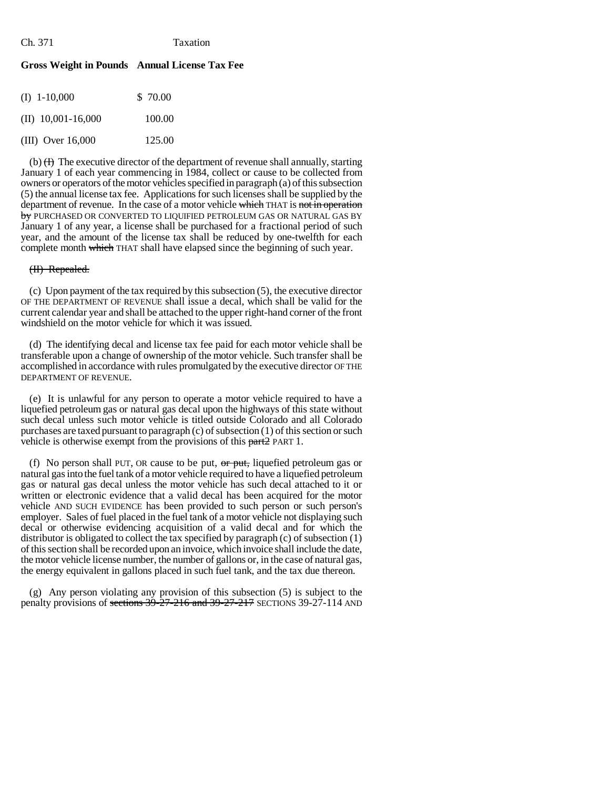# **Gross Weight in Pounds Annual License Tax Fee**

| $(I)$ 1-10,000        | \$ 70.00 |
|-----------------------|----------|
| (II) $10,001-16,000$  | 100.00   |
| $(III)$ Over $16,000$ | 125.00   |

(b)  $(H)$  The executive director of the department of revenue shall annually, starting January 1 of each year commencing in 1984, collect or cause to be collected from owners or operators of the motor vehicles specified in paragraph (a) of this subsection (5) the annual license tax fee. Applications for such licenses shall be supplied by the department of revenue. In the case of a motor vehicle which THAT is not in operation by PURCHASED OR CONVERTED TO LIQUIFIED PETROLEUM GAS OR NATURAL GAS BY January 1 of any year, a license shall be purchased for a fractional period of such year, and the amount of the license tax shall be reduced by one-twelfth for each complete month which THAT shall have elapsed since the beginning of such year.

# (II) Repealed.

(c) Upon payment of the tax required by this subsection (5), the executive director OF THE DEPARTMENT OF REVENUE shall issue a decal, which shall be valid for the current calendar year and shall be attached to the upper right-hand corner of the front windshield on the motor vehicle for which it was issued.

(d) The identifying decal and license tax fee paid for each motor vehicle shall be transferable upon a change of ownership of the motor vehicle. Such transfer shall be accomplished in accordance with rules promulgated by the executive director OF THE DEPARTMENT OF REVENUE.

(e) It is unlawful for any person to operate a motor vehicle required to have a liquefied petroleum gas or natural gas decal upon the highways of this state without such decal unless such motor vehicle is titled outside Colorado and all Colorado purchases are taxed pursuant to paragraph (c) of subsection (1) of this section or such vehicle is otherwise exempt from the provisions of this part 2 PART 1.

(f) No person shall PUT, OR cause to be put,  $\sigma r$  put, liquefied petroleum gas or natural gas into the fuel tank of a motor vehicle required to have a liquefied petroleum gas or natural gas decal unless the motor vehicle has such decal attached to it or written or electronic evidence that a valid decal has been acquired for the motor vehicle AND SUCH EVIDENCE has been provided to such person or such person's employer. Sales of fuel placed in the fuel tank of a motor vehicle not displaying such decal or otherwise evidencing acquisition of a valid decal and for which the distributor is obligated to collect the tax specified by paragraph (c) of subsection (1) of this section shall be recorded upon an invoice, which invoice shall include the date, the motor vehicle license number, the number of gallons or, in the case of natural gas, the energy equivalent in gallons placed in such fuel tank, and the tax due thereon.

(g) Any person violating any provision of this subsection (5) is subject to the penalty provisions of sections 39-27-216 and 39-27-217 SECTIONS 39-27-114 AND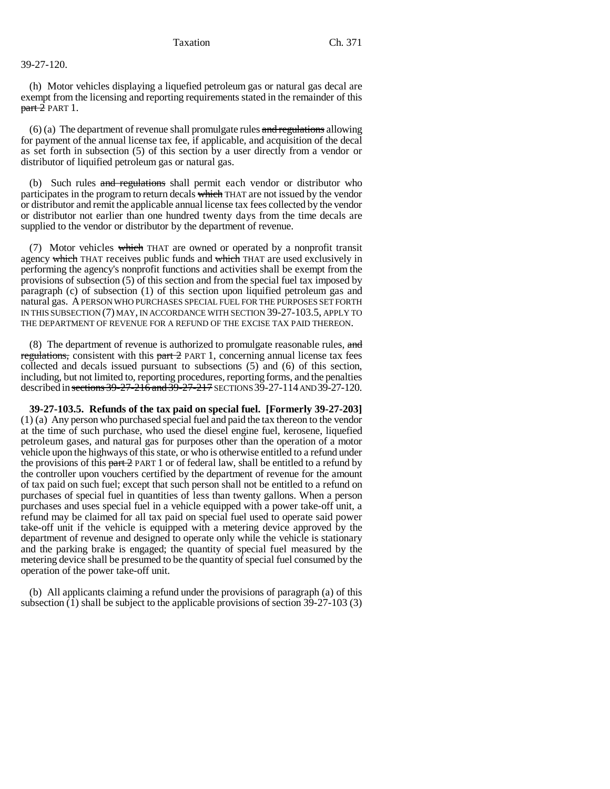# 39-27-120.

(h) Motor vehicles displaying a liquefied petroleum gas or natural gas decal are exempt from the licensing and reporting requirements stated in the remainder of this  $part 2$  PART 1.

 $(6)$  (a) The department of revenue shall promulgate rules and regulations allowing for payment of the annual license tax fee, if applicable, and acquisition of the decal as set forth in subsection (5) of this section by a user directly from a vendor or distributor of liquified petroleum gas or natural gas.

(b) Such rules and regulations shall permit each vendor or distributor who participates in the program to return decals which THAT are not issued by the vendor or distributor and remit the applicable annual license tax fees collected by the vendor or distributor not earlier than one hundred twenty days from the time decals are supplied to the vendor or distributor by the department of revenue.

(7) Motor vehicles which THAT are owned or operated by a nonprofit transit agency which THAT receives public funds and which THAT are used exclusively in performing the agency's nonprofit functions and activities shall be exempt from the provisions of subsection (5) of this section and from the special fuel tax imposed by paragraph (c) of subsection (1) of this section upon liquified petroleum gas and natural gas. A PERSON WHO PURCHASES SPECIAL FUEL FOR THE PURPOSES SET FORTH IN THIS SUBSECTION (7) MAY, IN ACCORDANCE WITH SECTION 39-27-103.5, APPLY TO THE DEPARTMENT OF REVENUE FOR A REFUND OF THE EXCISE TAX PAID THEREON.

(8) The department of revenue is authorized to promulgate reasonable rules, and regulations, consistent with this part 2 PART 1, concerning annual license tax fees collected and decals issued pursuant to subsections (5) and (6) of this section, including, but not limited to, reporting procedures, reporting forms, and the penalties described in sections 39-27-216 and 39-27-217 SECTIONS 39-27-114 AND 39-27-120.

**39-27-103.5. Refunds of the tax paid on special fuel. [Formerly 39-27-203]** (1) (a) Any person who purchased special fuel and paid the tax thereon to the vendor at the time of such purchase, who used the diesel engine fuel, kerosene, liquefied petroleum gases, and natural gas for purposes other than the operation of a motor vehicle upon the highways of this state, or who is otherwise entitled to a refund under the provisions of this  $part 2$  PART 1 or of federal law, shall be entitled to a refund by the controller upon vouchers certified by the department of revenue for the amount of tax paid on such fuel; except that such person shall not be entitled to a refund on purchases of special fuel in quantities of less than twenty gallons. When a person purchases and uses special fuel in a vehicle equipped with a power take-off unit, a refund may be claimed for all tax paid on special fuel used to operate said power take-off unit if the vehicle is equipped with a metering device approved by the department of revenue and designed to operate only while the vehicle is stationary and the parking brake is engaged; the quantity of special fuel measured by the metering device shall be presumed to be the quantity of special fuel consumed by the operation of the power take-off unit.

(b) All applicants claiming a refund under the provisions of paragraph (a) of this subsection  $(1)$  shall be subject to the applicable provisions of section 39-27-103  $(3)$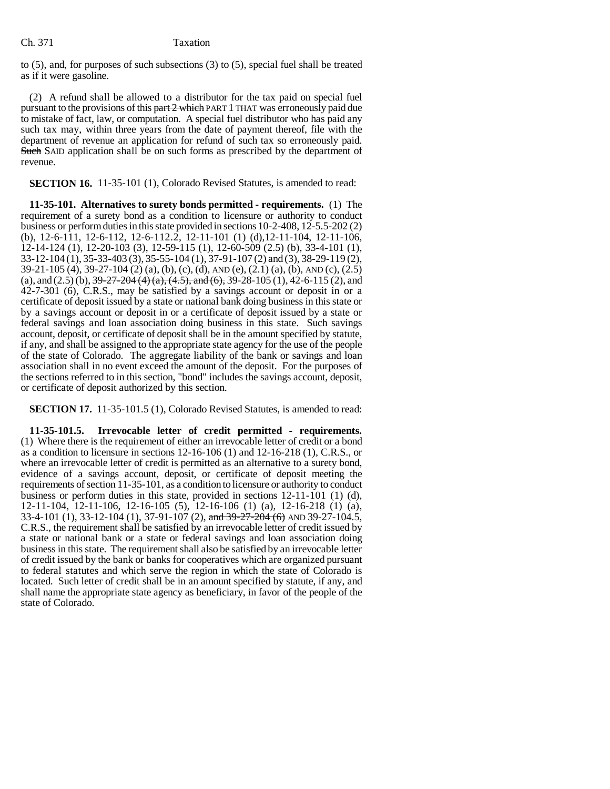to (5), and, for purposes of such subsections (3) to (5), special fuel shall be treated as if it were gasoline.

(2) A refund shall be allowed to a distributor for the tax paid on special fuel pursuant to the provisions of this part 2 which PART 1 THAT was erroneously paid due to mistake of fact, law, or computation. A special fuel distributor who has paid any such tax may, within three years from the date of payment thereof, file with the department of revenue an application for refund of such tax so erroneously paid. Such SAID application shall be on such forms as prescribed by the department of revenue.

**SECTION 16.** 11-35-101 (1), Colorado Revised Statutes, is amended to read:

**11-35-101. Alternatives to surety bonds permitted - requirements.** (1) The requirement of a surety bond as a condition to licensure or authority to conduct business or perform duties in this state provided in sections 10-2-408, 12-5.5-202 (2) (b), 12-6-111, 12-6-112, 12-6-112.2, 12-11-101 (1) (d),12-11-104, 12-11-106, 12-14-124 (1), 12-20-103 (3), 12-59-115 (1), 12-60-509 (2.5) (b), 33-4-101 (1), 33-12-104 (1), 35-33-403 (3), 35-55-104 (1), 37-91-107 (2) and (3), 38-29-119 (2), 39-21-105 (4), 39-27-104 (2) (a), (b), (c), (d), AND (e), (2.1) (a), (b), AND (c), (2.5) (a), and  $(2.5)$  (b),  $39-27-204$  (4) (a),  $(4.5)$ , and  $(6)$ ,  $39-28-105$  (1),  $42-6-115$  (2), and 42-7-301 (6), C.R.S., may be satisfied by a savings account or deposit in or a certificate of deposit issued by a state or national bank doing business in this state or by a savings account or deposit in or a certificate of deposit issued by a state or federal savings and loan association doing business in this state. Such savings account, deposit, or certificate of deposit shall be in the amount specified by statute, if any, and shall be assigned to the appropriate state agency for the use of the people of the state of Colorado. The aggregate liability of the bank or savings and loan association shall in no event exceed the amount of the deposit. For the purposes of the sections referred to in this section, "bond" includes the savings account, deposit, or certificate of deposit authorized by this section.

**SECTION 17.** 11-35-101.5 (1), Colorado Revised Statutes, is amended to read:

**11-35-101.5. Irrevocable letter of credit permitted - requirements.** (1) Where there is the requirement of either an irrevocable letter of credit or a bond as a condition to licensure in sections 12-16-106 (1) and 12-16-218 (1), C.R.S., or where an irrevocable letter of credit is permitted as an alternative to a surety bond, evidence of a savings account, deposit, or certificate of deposit meeting the requirements of section 11-35-101, as a condition to licensure or authority to conduct business or perform duties in this state, provided in sections 12-11-101 (1) (d), 12-11-104, 12-11-106, 12-16-105 (5), 12-16-106 (1) (a), 12-16-218 (1) (a), 33-4-101 (1), 33-12-104 (1), 37-91-107 (2), and 39-27-204 (6) AND 39-27-104.5, C.R.S., the requirement shall be satisfied by an irrevocable letter of credit issued by a state or national bank or a state or federal savings and loan association doing business in this state. The requirement shall also be satisfied by an irrevocable letter of credit issued by the bank or banks for cooperatives which are organized pursuant to federal statutes and which serve the region in which the state of Colorado is located. Such letter of credit shall be in an amount specified by statute, if any, and shall name the appropriate state agency as beneficiary, in favor of the people of the state of Colorado.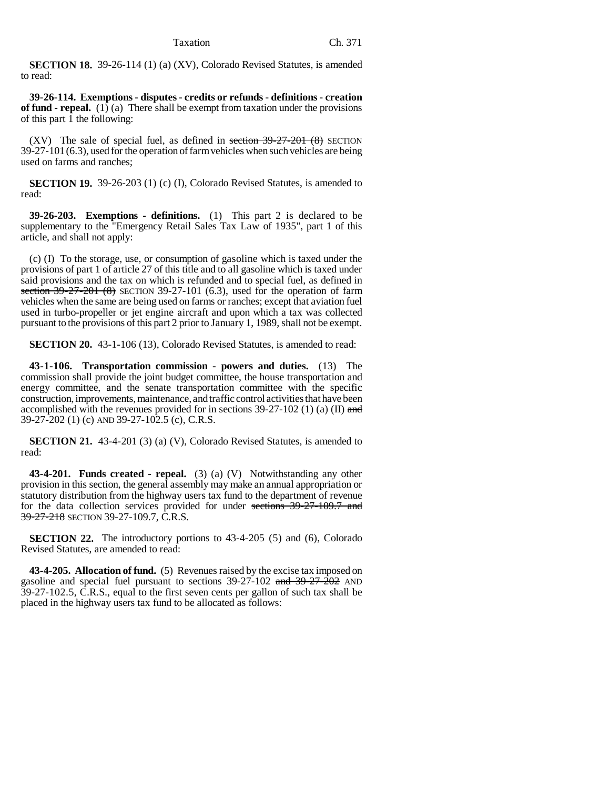**SECTION 18.** 39-26-114 (1) (a) (XV), Colorado Revised Statutes, is amended to read:

**39-26-114. Exemptions - disputes - credits or refunds - definitions - creation of fund - repeal.** (1) (a) There shall be exempt from taxation under the provisions of this part 1 the following:

(XV) The sale of special fuel, as defined in section  $39-27-201$  (8) SECTION 39-27-101(6.3), used for the operation of farm vehicles when such vehicles are being used on farms and ranches;

**SECTION 19.** 39-26-203 (1) (c) (I), Colorado Revised Statutes, is amended to read:

**39-26-203. Exemptions - definitions.** (1) This part 2 is declared to be supplementary to the "Emergency Retail Sales Tax Law of 1935", part 1 of this article, and shall not apply:

(c) (I) To the storage, use, or consumption of gasoline which is taxed under the provisions of part 1 of article 27 of this title and to all gasoline which is taxed under said provisions and the tax on which is refunded and to special fuel, as defined in section  $39-27-201$  (8) SECTION 39-27-101 (6.3), used for the operation of farm vehicles when the same are being used on farms or ranches; except that aviation fuel used in turbo-propeller or jet engine aircraft and upon which a tax was collected pursuant to the provisions of this part 2 prior to January 1, 1989, shall not be exempt.

**SECTION 20.** 43-1-106 (13), Colorado Revised Statutes, is amended to read:

**43-1-106. Transportation commission - powers and duties.** (13) The commission shall provide the joint budget committee, the house transportation and energy committee, and the senate transportation committee with the specific construction, improvements, maintenance, and traffic control activities that have been accomplished with the revenues provided for in sections  $39-27-102$  (1) (a) (II) and  $39-27-202$  (1) (e) AND 39-27-102.5 (c), C.R.S.

**SECTION 21.** 43-4-201 (3) (a) (V), Colorado Revised Statutes, is amended to read:

**43-4-201. Funds created - repeal.** (3) (a) (V) Notwithstanding any other provision in this section, the general assembly may make an annual appropriation or statutory distribution from the highway users tax fund to the department of revenue for the data collection services provided for under sections 39-27-109.7 and 39-27-218 SECTION 39-27-109.7, C.R.S.

**SECTION 22.** The introductory portions to 43-4-205 (5) and (6), Colorado Revised Statutes, are amended to read:

**43-4-205. Allocation of fund.** (5) Revenues raised by the excise tax imposed on gasoline and special fuel pursuant to sections  $39-27-102$  and  $39-27-202$  AND 39-27-102.5, C.R.S., equal to the first seven cents per gallon of such tax shall be placed in the highway users tax fund to be allocated as follows: